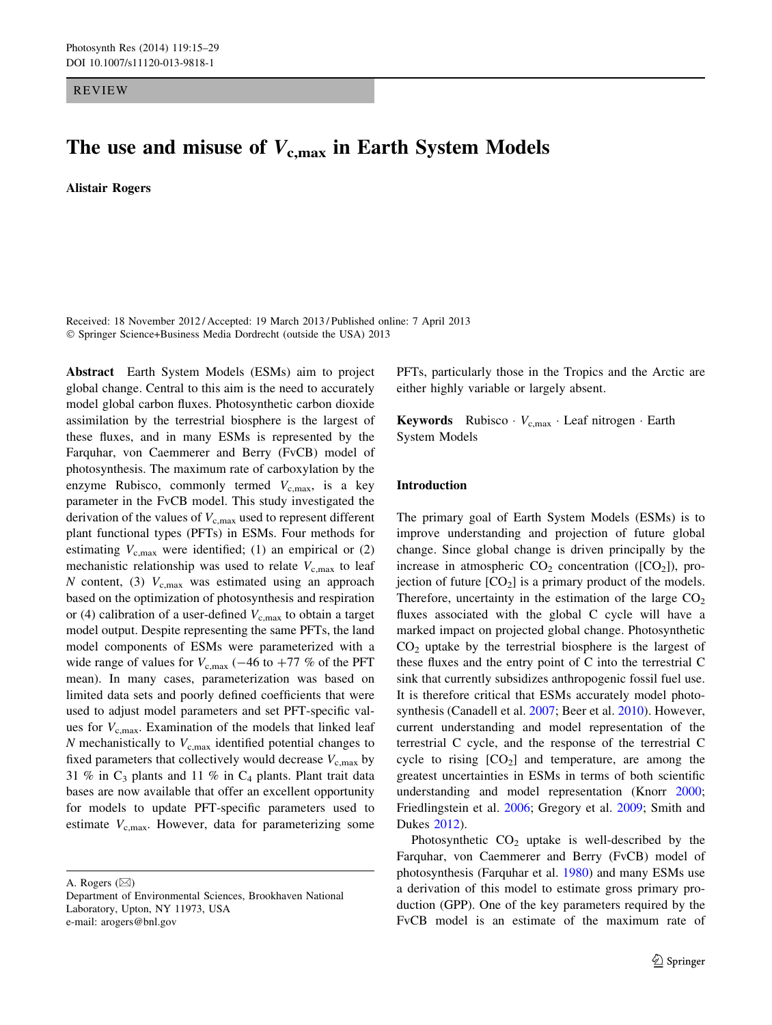REVIEW

# The use and misuse of  $V_{\rm c,max}$  in Earth System Models

Alistair Rogers

Received: 18 November 2012 / Accepted: 19 March 2013 / Published online: 7 April 2013 © Springer Science+Business Media Dordrecht (outside the USA) 2013

Abstract Earth System Models (ESMs) aim to project global change. Central to this aim is the need to accurately model global carbon fluxes. Photosynthetic carbon dioxide assimilation by the terrestrial biosphere is the largest of these fluxes, and in many ESMs is represented by the Farquhar, von Caemmerer and Berry (FvCB) model of photosynthesis. The maximum rate of carboxylation by the enzyme Rubisco, commonly termed  $V_{c,\text{max}}$ , is a key parameter in the FvCB model. This study investigated the derivation of the values of  $V_{c,max}$  used to represent different plant functional types (PFTs) in ESMs. Four methods for estimating  $V_{c,\text{max}}$  were identified; (1) an empirical or (2) mechanistic relationship was used to relate  $V_{\rm c,max}$  to leaf N content, (3)  $V_{c,max}$  was estimated using an approach based on the optimization of photosynthesis and respiration or (4) calibration of a user-defined  $V_{c,\text{max}}$  to obtain a target model output. Despite representing the same PFTs, the land model components of ESMs were parameterized with a wide range of values for  $V_{c,\text{max}}$  (-46 to +77 % of the PFT mean). In many cases, parameterization was based on limited data sets and poorly defined coefficients that were used to adjust model parameters and set PFT-specific values for  $V_{c,\text{max}}$ . Examination of the models that linked leaf  $N$  mechanistically to  $V_{c,max}$  identified potential changes to fixed parameters that collectively would decrease  $V_{c,max}$  by 31 % in  $C_3$  plants and 11 % in  $C_4$  plants. Plant trait data bases are now available that offer an excellent opportunity for models to update PFT-specific parameters used to estimate  $V_{\text{c,max}}$ . However, data for parameterizing some

A. Rogers  $(\boxtimes)$ 

PFTs, particularly those in the Tropics and the Arctic are either highly variable or largely absent.

**Keywords** Rubisco  $V_{c,max}$  Leaf nitrogen  $\cdot$  Earth System Models

## Introduction

The primary goal of Earth System Models (ESMs) is to improve understanding and projection of future global change. Since global change is driven principally by the increase in atmospheric  $CO<sub>2</sub>$  concentration ([ $CO<sub>2</sub>$ ]), projection of future  $[CO_2]$  is a primary product of the models. Therefore, uncertainty in the estimation of the large  $CO<sub>2</sub>$ fluxes associated with the global C cycle will have a marked impact on projected global change. Photosynthetic  $CO<sub>2</sub>$  uptake by the terrestrial biosphere is the largest of these fluxes and the entry point of C into the terrestrial C sink that currently subsidizes anthropogenic fossil fuel use. It is therefore critical that ESMs accurately model photosynthesis (Canadell et al. [2007](#page-12-0); Beer et al. [2010\)](#page-12-0). However, current understanding and model representation of the terrestrial C cycle, and the response of the terrestrial C cycle to rising  $[CO<sub>2</sub>]$  and temperature, are among the greatest uncertainties in ESMs in terms of both scientific understanding and model representation (Knorr [2000](#page-12-0); Friedlingstein et al. [2006](#page-12-0); Gregory et al. [2009](#page-12-0); Smith and Dukes [2012\)](#page-13-0).

Photosynthetic  $CO<sub>2</sub>$  uptake is well-described by the Farquhar, von Caemmerer and Berry (FvCB) model of photosynthesis (Farquhar et al. [1980](#page-12-0)) and many ESMs use a derivation of this model to estimate gross primary production (GPP). One of the key parameters required by the FvCB model is an estimate of the maximum rate of

Department of Environmental Sciences, Brookhaven National Laboratory, Upton, NY 11973, USA e-mail: arogers@bnl.gov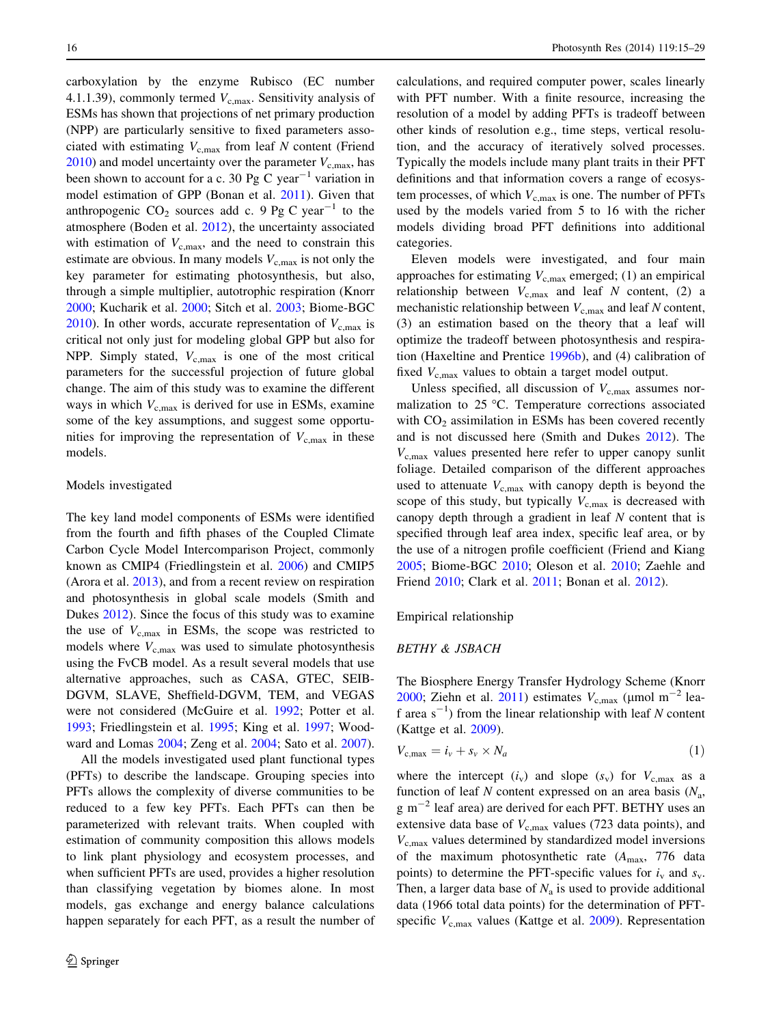<span id="page-1-0"></span>carboxylation by the enzyme Rubisco (EC number 4.1.1.39), commonly termed  $V_{c,max}$ . Sensitivity analysis of ESMs has shown that projections of net primary production (NPP) are particularly sensitive to fixed parameters associated with estimating  $V_{c,max}$  from leaf N content (Friend  $2010$ ) and model uncertainty over the parameter  $V_{\text{c,max}}$ , has been shown to account for a c. 30 Pg C year<sup>-1</sup> variation in model estimation of GPP (Bonan et al. [2011](#page-12-0)). Given that anthropogenic  $CO_2$  sources add c. 9 Pg C year<sup>-1</sup> to the atmosphere (Boden et al. [2012\)](#page-12-0), the uncertainty associated with estimation of  $V_{\rm c,max}$ , and the need to constrain this estimate are obvious. In many models  $V_{c,max}$  is not only the key parameter for estimating photosynthesis, but also, through a simple multiplier, autotrophic respiration (Knorr [2000;](#page-12-0) Kucharik et al. [2000](#page-13-0); Sitch et al. [2003;](#page-13-0) Biome-BGC [2010\)](#page-12-0). In other words, accurate representation of  $V_{c,\text{max}}$  is critical not only just for modeling global GPP but also for NPP. Simply stated,  $V_{c,max}$  is one of the most critical parameters for the successful projection of future global change. The aim of this study was to examine the different ways in which  $V_{\rm c,max}$  is derived for use in ESMs, examine some of the key assumptions, and suggest some opportunities for improving the representation of  $V_{\rm c,max}$  in these models.

## Models investigated

The key land model components of ESMs were identified from the fourth and fifth phases of the Coupled Climate Carbon Cycle Model Intercomparison Project, commonly known as CMIP4 (Friedlingstein et al. [2006](#page-12-0)) and CMIP5 (Arora et al. [2013](#page-12-0)), and from a recent review on respiration and photosynthesis in global scale models (Smith and Dukes [2012](#page-13-0)). Since the focus of this study was to examine the use of  $V_{\rm c,max}$  in ESMs, the scope was restricted to models where  $V_{c,max}$  was used to simulate photosynthesis using the FvCB model. As a result several models that use alternative approaches, such as CASA, GTEC, SEIB-DGVM, SLAVE, Sheffield-DGVM, TEM, and VEGAS were not considered (McGuire et al. [1992](#page-13-0); Potter et al. [1993;](#page-13-0) Friedlingstein et al. [1995;](#page-12-0) King et al. [1997;](#page-12-0) Woodward and Lomas [2004;](#page-14-0) Zeng et al. [2004;](#page-14-0) Sato et al. [2007](#page-13-0)).

All the models investigated used plant functional types (PFTs) to describe the landscape. Grouping species into PFTs allows the complexity of diverse communities to be reduced to a few key PFTs. Each PFTs can then be parameterized with relevant traits. When coupled with estimation of community composition this allows models to link plant physiology and ecosystem processes, and when sufficient PFTs are used, provides a higher resolution than classifying vegetation by biomes alone. In most models, gas exchange and energy balance calculations happen separately for each PFT, as a result the number of calculations, and required computer power, scales linearly with PFT number. With a finite resource, increasing the resolution of a model by adding PFTs is tradeoff between other kinds of resolution e.g., time steps, vertical resolution, and the accuracy of iteratively solved processes. Typically the models include many plant traits in their PFT definitions and that information covers a range of ecosystem processes, of which  $V_{c,max}$  is one. The number of PFTs used by the models varied from 5 to 16 with the richer models dividing broad PFT definitions into additional categories.

Eleven models were investigated, and four main approaches for estimating  $V_{c,\text{max}}$  emerged; (1) an empirical relationship between  $V_{\text{c,max}}$  and leaf N content, (2) a mechanistic relationship between  $V_{c,\text{max}}$  and leaf N content, (3) an estimation based on the theory that a leaf will optimize the tradeoff between photosynthesis and respiration (Haxeltine and Prentice [1996b\)](#page-12-0), and (4) calibration of fixed  $V_{\rm c,max}$  values to obtain a target model output.

Unless specified, all discussion of  $V_{\rm c,max}$  assumes normalization to  $25 \text{ °C}$ . Temperature corrections associated with  $CO<sub>2</sub>$  assimilation in ESMs has been covered recently and is not discussed here (Smith and Dukes [2012](#page-13-0)). The  $V_{\rm c,max}$  values presented here refer to upper canopy sunlit foliage. Detailed comparison of the different approaches used to attenuate  $V_{c,\text{max}}$  with canopy depth is beyond the scope of this study, but typically  $V_{c,max}$  is decreased with canopy depth through a gradient in leaf N content that is specified through leaf area index, specific leaf area, or by the use of a nitrogen profile coefficient (Friend and Kiang [2005](#page-12-0); Biome-BGC [2010](#page-12-0); Oleson et al. [2010;](#page-13-0) Zaehle and Friend [2010;](#page-14-0) Clark et al. [2011;](#page-12-0) Bonan et al. [2012](#page-12-0)).

Empirical relationship

## BETHY & JSBACH

The Biosphere Energy Transfer Hydrology Scheme (Knorr [2000](#page-12-0); Ziehn et al. [2011](#page-14-0)) estimates  $V_{c,\text{max}}$  (µmol m<sup>-2</sup> leaf area  $s^{-1}$ ) from the linear relationship with leaf N content (Kattge et al. [2009](#page-12-0)).

$$
V_{\rm c,max} = i_v + s_v \times N_a \tag{1}
$$

where the intercept  $(i_v)$  and slope  $(s_v)$  for  $V_{c,\text{max}}$  as a function of leaf N content expressed on an area basis  $(N_a,$  $g$  m<sup>-2</sup> leaf area) are derived for each PFT. BETHY uses an extensive data base of  $V_{c,\text{max}}$  values (723 data points), and  $V_{\rm c,max}$  values determined by standardized model inversions of the maximum photosynthetic rate  $(A<sub>max</sub>, 776$  data points) to determine the PFT-specific values for  $i_v$  and  $s_v$ . Then, a larger data base of  $N_a$  is used to provide additional data (1966 total data points) for the determination of PFTspecific  $V_{\text{c,max}}$  values (Kattge et al. [2009\)](#page-12-0). Representation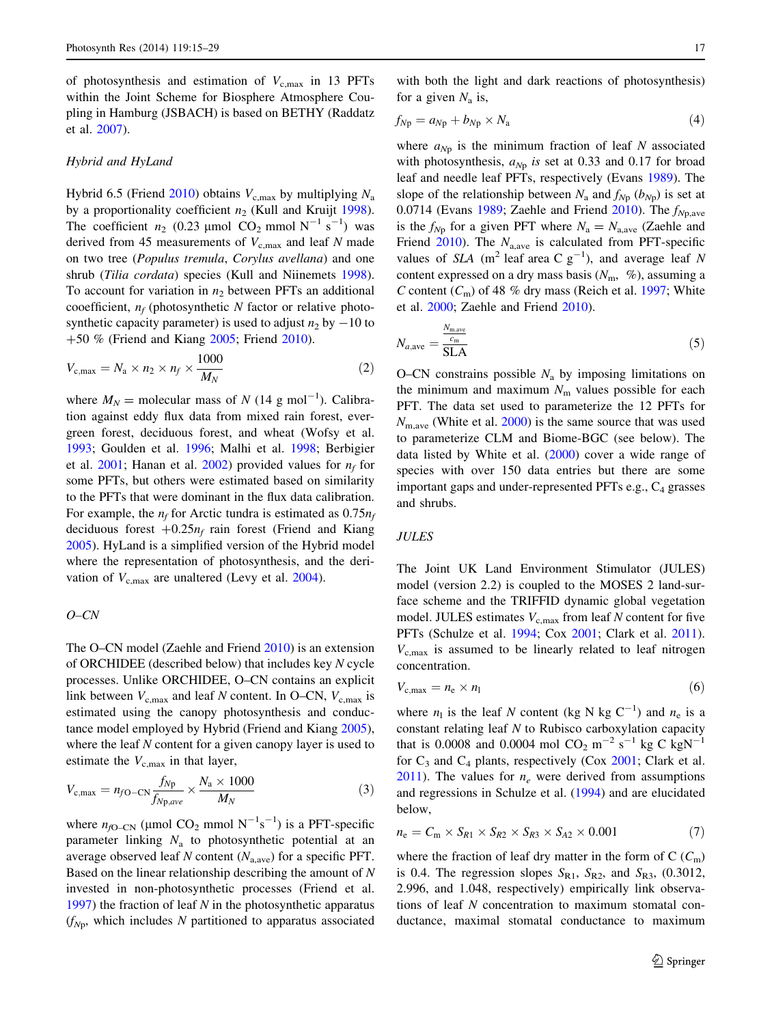<span id="page-2-0"></span>of photosynthesis and estimation of  $V_{\rm c,max}$  in 13 PFTs within the Joint Scheme for Biosphere Atmosphere Coupling in Hamburg (JSBACH) is based on BETHY (Raddatz et al. [2007\)](#page-13-0).

#### Hybrid and HyLand

Hybrid 6.5 (Friend [2010](#page-12-0)) obtains  $V_{c,max}$  by multiplying  $N_a$ by a proportionality coefficient  $n_2$  (Kull and Kruijt [1998](#page-13-0)). The coefficient  $n_2$  (0.23 µmol CO<sub>2</sub> mmol N<sup>-1</sup> s<sup>-1</sup>) was derived from 45 measurements of  $V_{c,max}$  and leaf N made on two tree (Populus tremula, Corylus avellana) and one shrub (Tilia cordata) species (Kull and Niinemets [1998](#page-13-0)). To account for variation in  $n_2$  between PFTs an additional cooefficient,  $n_f$  (photosynthetic N factor or relative photosynthetic capacity parameter) is used to adjust  $n_2$  by  $-10$  to +50 % (Friend and Kiang [2005;](#page-12-0) Friend [2010](#page-12-0)).

$$
V_{\rm c,max} = N_{\rm a} \times n_2 \times n_f \times \frac{1000}{M_N} \tag{2}
$$

where  $M_N$  = molecular mass of N (14 g mol<sup>-1</sup>). Calibration against eddy flux data from mixed rain forest, evergreen forest, deciduous forest, and wheat (Wofsy et al. [1993;](#page-14-0) Goulden et al. [1996;](#page-12-0) Malhi et al. [1998](#page-13-0); Berbigier et al. [2001](#page-12-0); Hanan et al. [2002\)](#page-12-0) provided values for  $n_f$  for some PFTs, but others were estimated based on similarity to the PFTs that were dominant in the flux data calibration. For example, the  $n_f$  for Arctic tundra is estimated as 0.75 $n_f$ deciduous forest  $+0.25n_f$  rain forest (Friend and Kiang [2005\)](#page-12-0). HyLand is a simplified version of the Hybrid model where the representation of photosynthesis, and the derivation of  $V_{c,max}$  are unaltered (Levy et al. [2004\)](#page-13-0).

## O–CN

The O–CN model (Zaehle and Friend [2010\)](#page-14-0) is an extension of ORCHIDEE (described below) that includes key N cycle processes. Unlike ORCHIDEE, O–CN contains an explicit link between  $V_{c,\text{max}}$  and leaf N content. In O–CN,  $V_{c,\text{max}}$  is estimated using the canopy photosynthesis and conductance model employed by Hybrid (Friend and Kiang [2005](#page-12-0)), where the leaf  $N$  content for a given canopy layer is used to estimate the  $V_{c,\text{max}}$  in that layer,

$$
V_{\rm c,max} = n_{f0-CN} \frac{f_{Np}}{f_{Np,ave}} \times \frac{N_{\rm a} \times 1000}{M_N} \tag{3}
$$

where  $n_{fQ-CN}$  (µmol CO<sub>2</sub> mmol N<sup>-1</sup>s<sup>-1</sup>) is a PFT-specific parameter linking  $N_a$  to photosynthetic potential at an average observed leaf N content  $(N_{a,\text{ave}})$  for a specific PFT. Based on the linear relationship describing the amount of N invested in non-photosynthetic processes (Friend et al. [1997\)](#page-12-0) the fraction of leaf  $N$  in the photosynthetic apparatus  $(f_{Np}$ , which includes N partitioned to apparatus associated

with both the light and dark reactions of photosynthesis) for a given  $N_a$  is,

$$
f_{Np} = a_{Np} + b_{Np} \times N_a \tag{4}
$$

where  $a_{Np}$  is the minimum fraction of leaf N associated with photosynthesis,  $a_{Np}$  is set at 0.33 and 0.17 for broad leaf and needle leaf PFTs, respectively (Evans [1989\)](#page-12-0). The slope of the relationship between  $N_a$  and  $f_{Np}$  ( $b_{Np}$ ) is set at 0.0714 (Evans [1989](#page-12-0); Zaehle and Friend [2010](#page-14-0)). The  $f_{Np,\text{ave}}$ is the  $f_{Np}$  for a given PFT where  $N_a = N_{a,ave}$  (Zaehle and Friend [2010\)](#page-14-0). The  $N_{a,ave}$  is calculated from PFT-specific values of SLA (m<sup>2</sup> leaf area C  $g^{-1}$ ), and average leaf N content expressed on a dry mass basis  $(N<sub>m</sub>, %)$ , assuming a C content  $(C_m)$  of 48 % dry mass (Reich et al. [1997](#page-13-0); White et al. [2000;](#page-14-0) Zaehle and Friend [2010\)](#page-14-0).

$$
N_{a,\text{ave}} = \frac{N_{\text{m,ave}}}{\text{SLA}} \tag{5}
$$

O–CN constrains possible  $N_a$  by imposing limitations on the minimum and maximum  $N<sub>m</sub>$  values possible for each PFT. The data set used to parameterize the 12 PFTs for  $N_{\text{m.ave}}$  (White et al. [2000\)](#page-14-0) is the same source that was used to parameterize CLM and Biome-BGC (see below). The data listed by White et al. ([2000\)](#page-14-0) cover a wide range of species with over 150 data entries but there are some important gaps and under-represented PFTs e.g.,  $C_4$  grasses and shrubs.

## **JULES**

The Joint UK Land Environment Stimulator (JULES) model (version 2.2) is coupled to the MOSES 2 land-surface scheme and the TRIFFID dynamic global vegetation model. JULES estimates  $V_{\text{c,max}}$  from leaf N content for five PFTs (Schulze et al. [1994](#page-13-0); Cox [2001](#page-12-0); Clark et al. [2011](#page-12-0)).  $V_{\rm c,max}$  is assumed to be linearly related to leaf nitrogen concentration.

$$
V_{\rm c,max} = n_{\rm e} \times n_{\rm l} \tag{6}
$$

where  $n_1$  is the leaf N content (kg N kg C<sup>-1</sup>) and  $n_e$  is a constant relating leaf N to Rubisco carboxylation capacity that is 0.0008 and 0.0004 mol  $CO_2$  m<sup>-2</sup> s<sup>-1</sup> kg C kgN<sup>-1</sup> for  $C_3$  and  $C_4$  plants, respectively (Cox [2001;](#page-12-0) Clark et al. [2011](#page-12-0)). The values for  $n_e$  were derived from assumptions and regressions in Schulze et al. ([1994\)](#page-13-0) and are elucidated below,

$$
n_{\rm e} = C_{\rm m} \times S_{R1} \times S_{R2} \times S_{R3} \times S_{A2} \times 0.001\tag{7}
$$

where the fraction of leaf dry matter in the form of C  $(C_m)$ is 0.4. The regression slopes  $S_{R1}$ ,  $S_{R2}$ , and  $S_{R3}$ , (0.3012, 2.996, and 1.048, respectively) empirically link observations of leaf N concentration to maximum stomatal conductance, maximal stomatal conductance to maximum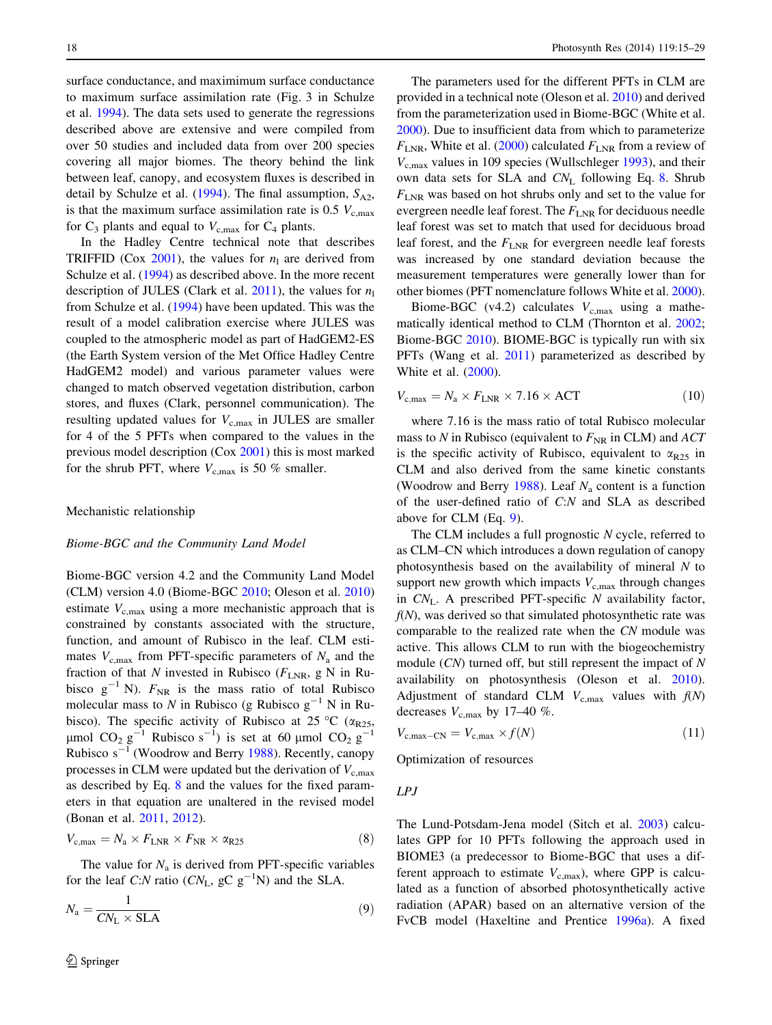<span id="page-3-0"></span>surface conductance, and maximimum surface conductance to maximum surface assimilation rate (Fig. 3 in Schulze et al. [1994](#page-13-0)). The data sets used to generate the regressions described above are extensive and were compiled from over 50 studies and included data from over 200 species covering all major biomes. The theory behind the link between leaf, canopy, and ecosystem fluxes is described in detail by Schulze et al. [\(1994](#page-13-0)). The final assumption,  $S_{A2}$ , is that the maximum surface assimilation rate is 0.5  $V_{\rm c,max}$ for  $C_3$  plants and equal to  $V_{c,max}$  for  $C_4$  plants.

In the Hadley Centre technical note that describes TRIFFID (Cox [2001\)](#page-12-0), the values for  $n_1$  are derived from Schulze et al. [\(1994](#page-13-0)) as described above. In the more recent description of JULES (Clark et al.  $2011$ ), the values for  $n_1$ from Schulze et al. ([1994\)](#page-13-0) have been updated. This was the result of a model calibration exercise where JULES was coupled to the atmospheric model as part of HadGEM2-ES (the Earth System version of the Met Office Hadley Centre HadGEM2 model) and various parameter values were changed to match observed vegetation distribution, carbon stores, and fluxes (Clark, personnel communication). The resulting updated values for  $V_{c,max}$  in JULES are smaller for 4 of the 5 PFTs when compared to the values in the previous model description (Cox [2001](#page-12-0)) this is most marked for the shrub PFT, where  $V_{\text{c,max}}$  is 50 % smaller.

#### Mechanistic relationship

## Biome-BGC and the Community Land Model

Biome-BGC version 4.2 and the Community Land Model (CLM) version 4.0 (Biome-BGC [2010](#page-12-0); Oleson et al. [2010\)](#page-13-0) estimate  $V_{\rm c,max}$  using a more mechanistic approach that is constrained by constants associated with the structure, function, and amount of Rubisco in the leaf. CLM estimates  $V_{\text{c,max}}$  from PFT-specific parameters of  $N_{\text{a}}$  and the fraction of that N invested in Rubisco ( $F_{\text{LNR}}$ , g N in Rubisco  $g^{-1}$  N).  $F_{NR}$  is the mass ratio of total Rubisco molecular mass to N in Rubisco (g Rubisco  $g^{-1}$  N in Rubisco). The specific activity of Rubisco at 25 °C ( $\alpha_{R25}$ ,  $\mu$ mol CO<sub>2</sub> g<sup>-1</sup> Rubisco s<sup>-1</sup>) is set at 60  $\mu$ mol CO<sub>2</sub> g<sup>-1</sup> Rubisco  $s^{-1}$  (Woodrow and Berry [1988](#page-14-0)). Recently, canopy processes in CLM were updated but the derivation of  $V_{\rm c,max}$ as described by Eq. 8 and the values for the fixed parameters in that equation are unaltered in the revised model (Bonan et al. [2011](#page-12-0), [2012](#page-12-0)).

$$
V_{\rm c,max} = N_{\rm a} \times F_{\rm LNR} \times F_{\rm NR} \times \alpha_{\rm R25} \tag{8}
$$

The value for  $N_a$  is derived from PFT-specific variables for the leaf C:N ratio ( $CN_L$ , gC  $g^{-1}N$ ) and the SLA.

$$
N_{\rm a} = \frac{1}{CN_{\rm L} \times \text{SLA}}\tag{9}
$$

The parameters used for the different PFTs in CLM are provided in a technical note (Oleson et al. [2010](#page-13-0)) and derived from the parameterization used in Biome-BGC (White et al. [2000](#page-14-0)). Due to insufficient data from which to parameterize  $F_{\text{LNR}}$ , White et al. ([2000\)](#page-14-0) calculated  $F_{\text{LNR}}$  from a review of  $V_{c,max}$  values in 109 species (Wullschleger [1993](#page-14-0)), and their own data sets for SLA and  $CN_L$  following Eq. 8. Shrub  $F_{\text{LNR}}$  was based on hot shrubs only and set to the value for evergreen needle leaf forest. The  $F_{LNR}$  for deciduous needle leaf forest was set to match that used for deciduous broad leaf forest, and the  $F_{\text{LNR}}$  for evergreen needle leaf forests was increased by one standard deviation because the measurement temperatures were generally lower than for other biomes (PFT nomenclature follows White et al. [2000](#page-14-0)).

Biome-BGC (v4.2) calculates  $V_{c,\text{max}}$  using a mathematically identical method to CLM (Thornton et al. [2002](#page-14-0); Biome-BGC [2010\)](#page-12-0). BIOME-BGC is typically run with six PFTs (Wang et al. [2011](#page-14-0)) parameterized as described by White et al. ([2000\)](#page-14-0).

$$
V_{\rm c,max} = N_{\rm a} \times F_{\rm LNR} \times 7.16 \times \text{ACT}
$$
 (10)

where 7.16 is the mass ratio of total Rubisco molecular mass to N in Rubisco (equivalent to  $F_{\text{NR}}$  in CLM) and  $ACT$ is the specific activity of Rubisco, equivalent to  $\alpha_{R25}$  in CLM and also derived from the same kinetic constants (Woodrow and Berry [1988](#page-14-0)). Leaf  $N_a$  content is a function of the user-defined ratio of C:N and SLA as described above for CLM (Eq. 9).

The CLM includes a full prognostic N cycle, referred to as CLM–CN which introduces a down regulation of canopy photosynthesis based on the availability of mineral N to support new growth which impacts  $V_{\rm c,max}$  through changes in  $CN<sub>L</sub>$ . A prescribed PFT-specific N availability factor,  $f(N)$ , was derived so that simulated photosynthetic rate was comparable to the realized rate when the CN module was active. This allows CLM to run with the biogeochemistry module  $(CN)$  turned off, but still represent the impact of N availability on photosynthesis (Oleson et al. [2010](#page-13-0)). Adjustment of standard CLM  $V_{c,max}$  values with  $f(N)$ decreases  $V_{\text{c,max}}$  by 17–40 %.

$$
V_{\rm c,max-CN} = V_{\rm c,max} \times f(N) \tag{11}
$$

Optimization of resources

$$
LPJ
$$

The Lund-Potsdam-Jena model (Sitch et al. [2003](#page-13-0)) calculates GPP for 10 PFTs following the approach used in BIOME3 (a predecessor to Biome-BGC that uses a different approach to estimate  $V_{c,\text{max}}$ ), where GPP is calculated as a function of absorbed photosynthetically active radiation (APAR) based on an alternative version of the FvCB model (Haxeltine and Prentice [1996a](#page-12-0)). A fixed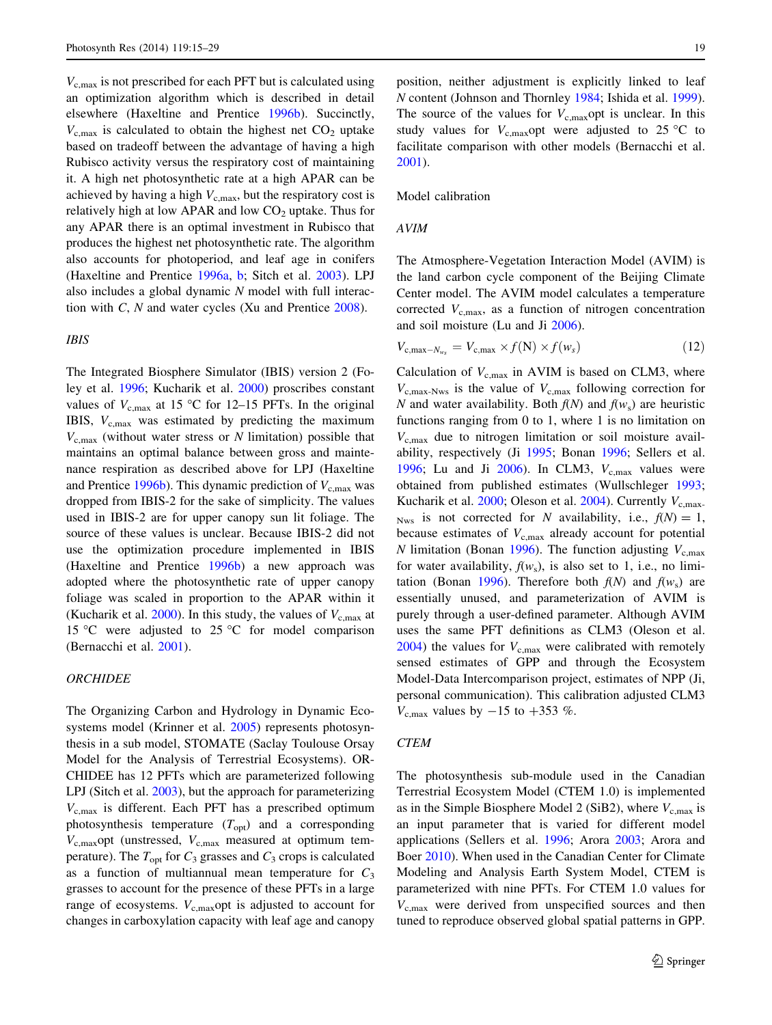$V_{\rm c,max}$  is not prescribed for each PFT but is calculated using an optimization algorithm which is described in detail elsewhere (Haxeltine and Prentice [1996b\)](#page-12-0). Succinctly,  $V_{c,max}$  is calculated to obtain the highest net  $CO<sub>2</sub>$  uptake based on tradeoff between the advantage of having a high Rubisco activity versus the respiratory cost of maintaining it. A high net photosynthetic rate at a high APAR can be achieved by having a high  $V_{c,\text{max}}$ , but the respiratory cost is relatively high at low APAR and low  $CO<sub>2</sub>$  uptake. Thus for any APAR there is an optimal investment in Rubisco that produces the highest net photosynthetic rate. The algorithm also accounts for photoperiod, and leaf age in conifers (Haxeltine and Prentice [1996a,](#page-12-0) [b](#page-12-0); Sitch et al. [2003\)](#page-13-0). LPJ also includes a global dynamic N model with full interaction with C, N and water cycles (Xu and Prentice [2008\)](#page-14-0).

## IBIS

The Integrated Biosphere Simulator (IBIS) version 2 (Foley et al. [1996;](#page-12-0) Kucharik et al. [2000\)](#page-13-0) proscribes constant values of  $V_{\rm c,max}$  at 15 °C for 12–15 PFTs. In the original IBIS,  $V_{\text{c,max}}$  was estimated by predicting the maximum  $V_{c,max}$  (without water stress or N limitation) possible that maintains an optimal balance between gross and maintenance respiration as described above for LPJ (Haxeltine and Prentice [1996b](#page-12-0)). This dynamic prediction of  $V_{c,\text{max}}$  was dropped from IBIS-2 for the sake of simplicity. The values used in IBIS-2 are for upper canopy sun lit foliage. The source of these values is unclear. Because IBIS-2 did not use the optimization procedure implemented in IBIS (Haxeltine and Prentice [1996b\)](#page-12-0) a new approach was adopted where the photosynthetic rate of upper canopy foliage was scaled in proportion to the APAR within it (Kucharik et al. [2000\)](#page-13-0). In this study, the values of  $V_{c,\text{max}}$  at 15 °C were adjusted to 25 °C for model comparison (Bernacchi et al. [2001\)](#page-12-0).

## **ORCHIDEE**

The Organizing Carbon and Hydrology in Dynamic Ecosystems model (Krinner et al. [2005\)](#page-13-0) represents photosynthesis in a sub model, STOMATE (Saclay Toulouse Orsay Model for the Analysis of Terrestrial Ecosystems). OR-CHIDEE has 12 PFTs which are parameterized following LPJ (Sitch et al. [2003](#page-13-0)), but the approach for parameterizing  $V_{c,max}$  is different. Each PFT has a prescribed optimum photosynthesis temperature  $(T_{opt})$  and a corresponding  $V_{\rm c,max}$ opt (unstressed,  $V_{\rm c,max}$  measured at optimum temperature). The  $T_{\text{opt}}$  for  $C_3$  grasses and  $C_3$  crops is calculated as a function of multiannual mean temperature for  $C_3$ grasses to account for the presence of these PFTs in a large range of ecosystems.  $V_{\text{c,max}}$  opt is adjusted to account for changes in carboxylation capacity with leaf age and canopy

position, neither adjustment is explicitly linked to leaf N content (Johnson and Thornley [1984](#page-12-0); Ishida et al. [1999](#page-12-0)). The source of the values for  $V_{\rm c,max}$  opt is unclear. In this study values for  $V_{\text{c,max}}$ opt were adjusted to 25 °C to facilitate comparison with other models (Bernacchi et al. [2001](#page-12-0)).

Model calibration

#### AVIM

The Atmosphere-Vegetation Interaction Model (AVIM) is the land carbon cycle component of the Beijing Climate Center model. The AVIM model calculates a temperature corrected  $V_{\text{c,max}}$ , as a function of nitrogen concentration and soil moisture (Lu and Ji [2006\)](#page-13-0).

$$
V_{\rm c,max-N_{w_s}} = V_{\rm c,max} \times f(N) \times f(w_s)
$$
 (12)

Calculation of  $V_{c,max}$  in AVIM is based on CLM3, where  $V_{\rm c,max-Nws}$  is the value of  $V_{\rm c,max}$  following correction for N and water availability. Both  $f(N)$  and  $f(w_s)$  are heuristic functions ranging from 0 to 1, where 1 is no limitation on  $V_{\rm c,max}$  due to nitrogen limitation or soil moisture availability, respectively (Ji [1995](#page-12-0); Bonan [1996;](#page-12-0) Sellers et al. [1996](#page-13-0); Lu and Ji  $2006$ ). In CLM3,  $V_{c,max}$  values were obtained from published estimates (Wullschleger [1993](#page-14-0); Kucharik et al. [2000;](#page-13-0) Oleson et al. [2004\)](#page-13-0). Currently  $V_{c,max}$ . <sub>Nws</sub> is not corrected for N availability, i.e.,  $f(N) = 1$ , because estimates of  $V_{c,max}$  already account for potential N limitation (Bonan [1996\)](#page-12-0). The function adjusting  $V_{\text{c,max}}$ for water availability,  $f(w_s)$ , is also set to 1, i.e., no limi-tation (Bonan [1996\)](#page-12-0). Therefore both  $f(N)$  and  $f(w<sub>s</sub>)$  are essentially unused, and parameterization of AVIM is purely through a user-defined parameter. Although AVIM uses the same PFT definitions as CLM3 (Oleson et al.  $2004$ ) the values for  $V_{c,max}$  were calibrated with remotely sensed estimates of GPP and through the Ecosystem Model-Data Intercomparison project, estimates of NPP (Ji, personal communication). This calibration adjusted CLM3  $V_{\text{c,max}}$  values by  $-15$  to  $+353$  %.

#### **CTEM**

The photosynthesis sub-module used in the Canadian Terrestrial Ecosystem Model (CTEM 1.0) is implemented as in the Simple Biosphere Model 2 (SiB2), where  $V_{c,max}$  is an input parameter that is varied for different model applications (Sellers et al. [1996;](#page-13-0) Arora [2003;](#page-11-0) Arora and Boer [2010](#page-11-0)). When used in the Canadian Center for Climate Modeling and Analysis Earth System Model, CTEM is parameterized with nine PFTs. For CTEM 1.0 values for  $V_{c,max}$  were derived from unspecified sources and then tuned to reproduce observed global spatial patterns in GPP.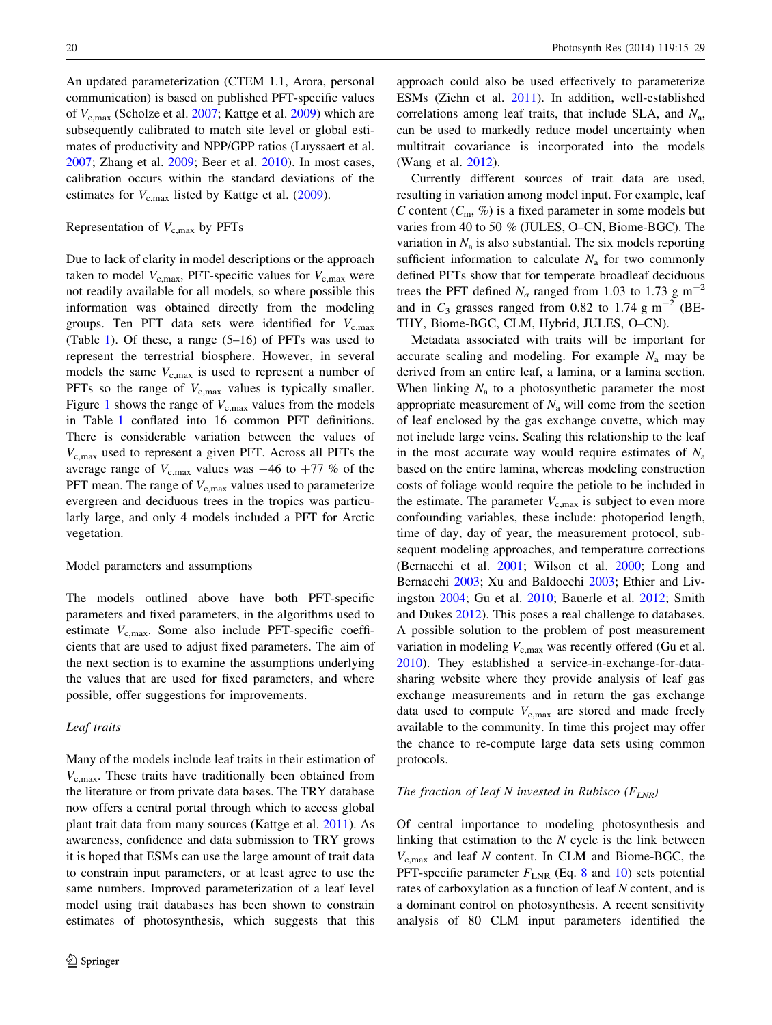An updated parameterization (CTEM 1.1, Arora, personal communication) is based on published PFT-specific values of  $V_{c,max}$  (Scholze et al. [2007;](#page-13-0) Kattge et al. [2009](#page-12-0)) which are subsequently calibrated to match site level or global estimates of productivity and NPP/GPP ratios (Luyssaert et al. [2007;](#page-13-0) Zhang et al. [2009;](#page-14-0) Beer et al. [2010\)](#page-12-0). In most cases, calibration occurs within the standard deviations of the estimates for  $V_{c,max}$  listed by Kattge et al. ([2009\)](#page-12-0).

## Representation of  $V_{c,max}$  by PFTs

Due to lack of clarity in model descriptions or the approach taken to model  $V_{c,\text{max}}$ , PFT-specific values for  $V_{c,\text{max}}$  were not readily available for all models, so where possible this information was obtained directly from the modeling groups. Ten PFT data sets were identified for  $V_{\rm c,max}$ (Table [1](#page-6-0)). Of these, a range (5–16) of PFTs was used to represent the terrestrial biosphere. However, in several models the same  $V_{c,max}$  is used to represent a number of PFTs so the range of  $V_{c,max}$  values is typically smaller. Figure [1](#page-8-0) shows the range of  $V_{\rm c,max}$  values from the models in Table [1](#page-6-0) conflated into 16 common PFT definitions. There is considerable variation between the values of  $V_{c,max}$  used to represent a given PFT. Across all PFTs the average range of  $V_{\text{c,max}}$  values was  $-46$  to  $+77$  % of the PFT mean. The range of  $V_{c,max}$  values used to parameterize evergreen and deciduous trees in the tropics was particularly large, and only 4 models included a PFT for Arctic vegetation.

#### Model parameters and assumptions

The models outlined above have both PFT-specific parameters and fixed parameters, in the algorithms used to estimate  $V_{\rm c,max}$ . Some also include PFT-specific coefficients that are used to adjust fixed parameters. The aim of the next section is to examine the assumptions underlying the values that are used for fixed parameters, and where possible, offer suggestions for improvements.

## Leaf traits

Many of the models include leaf traits in their estimation of  $V_{\rm c,max}$ . These traits have traditionally been obtained from the literature or from private data bases. The TRY database now offers a central portal through which to access global plant trait data from many sources (Kattge et al. [2011](#page-12-0)). As awareness, confidence and data submission to TRY grows it is hoped that ESMs can use the large amount of trait data to constrain input parameters, or at least agree to use the same numbers. Improved parameterization of a leaf level model using trait databases has been shown to constrain estimates of photosynthesis, which suggests that this approach could also be used effectively to parameterize ESMs (Ziehn et al. [2011](#page-14-0)). In addition, well-established correlations among leaf traits, that include SLA, and  $N_a$ , can be used to markedly reduce model uncertainty when multitrait covariance is incorporated into the models (Wang et al. [2012](#page-14-0)).

Currently different sources of trait data are used, resulting in variation among model input. For example, leaf C content  $(C_m, \mathcal{C})$  is a fixed parameter in some models but varies from 40 to 50 % (JULES, O–CN, Biome-BGC). The variation in  $N_a$  is also substantial. The six models reporting sufficient information to calculate  $N_a$  for two commonly defined PFTs show that for temperate broadleaf deciduous trees the PFT defined  $N_a$  ranged from 1.03 to 1.73 g m<sup>-2</sup> and in  $C_3$  grasses ranged from 0.82 to 1.74 g m<sup>-2</sup> (BE-THY, Biome-BGC, CLM, Hybrid, JULES, O–CN).

Metadata associated with traits will be important for accurate scaling and modeling. For example  $N_a$  may be derived from an entire leaf, a lamina, or a lamina section. When linking  $N_a$  to a photosynthetic parameter the most appropriate measurement of  $N_a$  will come from the section of leaf enclosed by the gas exchange cuvette, which may not include large veins. Scaling this relationship to the leaf in the most accurate way would require estimates of  $N_a$ based on the entire lamina, whereas modeling construction costs of foliage would require the petiole to be included in the estimate. The parameter  $V_{c,max}$  is subject to even more confounding variables, these include: photoperiod length, time of day, day of year, the measurement protocol, subsequent modeling approaches, and temperature corrections (Bernacchi et al. [2001;](#page-12-0) Wilson et al. [2000;](#page-14-0) Long and Bernacchi [2003](#page-13-0); Xu and Baldocchi [2003;](#page-14-0) Ethier and Livingston [2004](#page-12-0); Gu et al. [2010](#page-12-0); Bauerle et al. [2012;](#page-12-0) Smith and Dukes [2012\)](#page-13-0). This poses a real challenge to databases. A possible solution to the problem of post measurement variation in modeling  $V_{c,\text{max}}$  was recently offered (Gu et al. [2010](#page-12-0)). They established a service-in-exchange-for-datasharing website where they provide analysis of leaf gas exchange measurements and in return the gas exchange data used to compute  $V_{\rm c,max}$  are stored and made freely available to the community. In time this project may offer the chance to re-compute large data sets using common protocols.

#### The fraction of leaf N invested in Rubisco  $(F_{LNR})$

Of central importance to modeling photosynthesis and linking that estimation to the  $N$  cycle is the link between  $V_{\text{c,max}}$  and leaf N content. In CLM and Biome-BGC, the PFT-specific parameter  $F_{\text{LNR}}$  (Eq. [8](#page-3-0) and [10](#page-3-0)) sets potential rates of carboxylation as a function of leaf N content, and is a dominant control on photosynthesis. A recent sensitivity analysis of 80 CLM input parameters identified the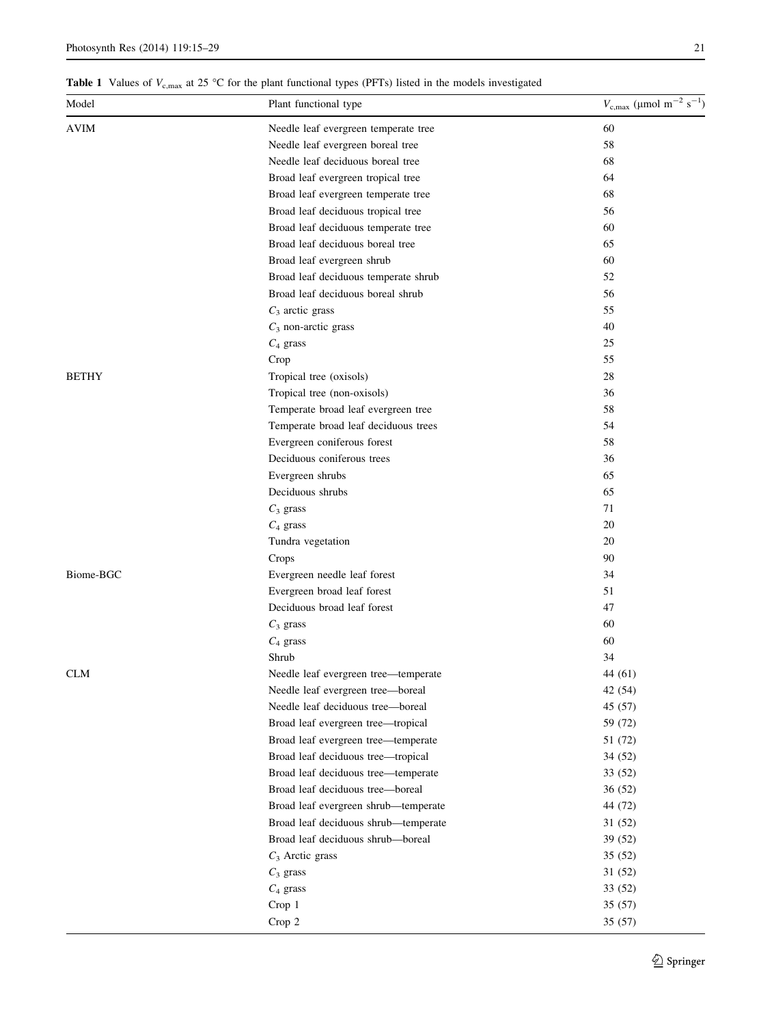<span id="page-6-0"></span>**Table 1** Values of  $V_{c,max}$  at 25 °C for the plant functional types (PFTs) listed in the models investigated

| Model        | Plant functional type                                                     | $V_{\rm c,max}$ (µmol m <sup>-2</sup> s <sup>-1</sup> ) |
|--------------|---------------------------------------------------------------------------|---------------------------------------------------------|
| <b>AVIM</b>  | Needle leaf evergreen temperate tree                                      | 60                                                      |
|              | Needle leaf evergreen boreal tree                                         | 58                                                      |
|              | Needle leaf deciduous boreal tree                                         | 68                                                      |
|              | Broad leaf evergreen tropical tree                                        | 64                                                      |
|              | Broad leaf evergreen temperate tree                                       | 68                                                      |
|              | Broad leaf deciduous tropical tree                                        | 56                                                      |
|              | Broad leaf deciduous temperate tree                                       | 60                                                      |
|              | Broad leaf deciduous boreal tree                                          | 65                                                      |
|              | Broad leaf evergreen shrub                                                | 60                                                      |
|              | Broad leaf deciduous temperate shrub                                      | 52                                                      |
|              | Broad leaf deciduous boreal shrub                                         | 56                                                      |
|              | $C_3$ arctic grass                                                        | 55                                                      |
|              | $C_3$ non-arctic grass                                                    | 40                                                      |
|              | $C_4$ grass                                                               | 25                                                      |
|              | Crop                                                                      | 55                                                      |
| <b>BETHY</b> | Tropical tree (oxisols)                                                   | 28                                                      |
|              | Tropical tree (non-oxisols)                                               | 36                                                      |
|              | Temperate broad leaf evergreen tree                                       | 58                                                      |
|              | Temperate broad leaf deciduous trees                                      | 54                                                      |
|              | Evergreen coniferous forest                                               | 58                                                      |
|              | Deciduous coniferous trees                                                | 36                                                      |
|              | Evergreen shrubs                                                          | 65                                                      |
|              | Deciduous shrubs                                                          | 65                                                      |
|              | $C_3$ grass                                                               | 71                                                      |
|              | $C_4$ grass                                                               | 20                                                      |
|              | Tundra vegetation                                                         | 20                                                      |
|              | Crops                                                                     | 90                                                      |
| Biome-BGC    | Evergreen needle leaf forest                                              | 34                                                      |
|              | Evergreen broad leaf forest                                               | 51                                                      |
|              | Deciduous broad leaf forest                                               | 47                                                      |
|              | $C_3$ grass                                                               | 60                                                      |
|              | $C_4$ grass                                                               | 60                                                      |
|              | Shrub                                                                     | 34                                                      |
| CLM          | Needle leaf evergreen tree-temperate                                      | 44 (61)                                                 |
|              |                                                                           | 42 (54)                                                 |
|              | Needle leaf evergreen tree-boreal<br>Needle leaf deciduous tree-boreal    | 45 (57)                                                 |
|              |                                                                           | 59 (72)                                                 |
|              | Broad leaf evergreen tree-tropical<br>Broad leaf evergreen tree-temperate | 51 (72)                                                 |
|              | Broad leaf deciduous tree-tropical                                        | 34 (52)                                                 |
|              |                                                                           |                                                         |
|              | Broad leaf deciduous tree-temperate                                       | 33 (52)                                                 |
|              | Broad leaf deciduous tree-boreal                                          | 36(52)<br>44 (72)                                       |
|              | Broad leaf evergreen shrub-temperate                                      |                                                         |
|              | Broad leaf deciduous shrub-temperate                                      | 31 (52)                                                 |
|              | Broad leaf deciduous shrub-boreal                                         | 39 (52)                                                 |
|              | $C_3$ Arctic grass                                                        | 35(52)                                                  |
|              | $C_3$ grass                                                               | 31 (52)                                                 |
|              | $C_4$ grass                                                               | 33 (52)                                                 |
|              | Crop 1                                                                    | 35(57)                                                  |
|              | Crop 2                                                                    | 35(57)                                                  |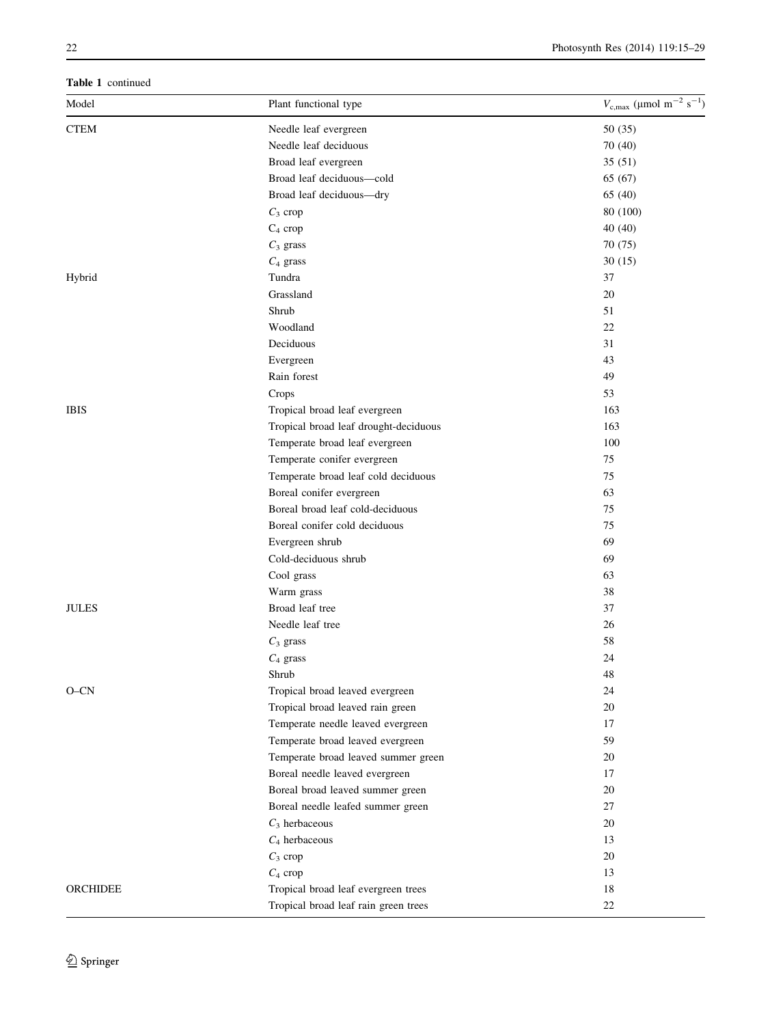Table 1 continued

| Model       | Plant functional type                 | $V_{\rm c,max}$ (µmol m <sup>-2</sup> s <sup>-1</sup> ) |
|-------------|---------------------------------------|---------------------------------------------------------|
| <b>CTEM</b> | Needle leaf evergreen                 | 50 (35)                                                 |
|             | Needle leaf deciduous                 | 70 (40)                                                 |
|             | Broad leaf evergreen                  | 35(51)                                                  |
|             | Broad leaf deciduous-cold             | 65 (67)                                                 |
|             | Broad leaf deciduous-dry              | 65 (40)                                                 |
|             | $C_3$ crop                            | 80 (100)                                                |
|             | $C_4$ crop                            | 40 (40)                                                 |
|             | $C_3$ grass                           | 70 (75)                                                 |
|             | $C_4$ grass                           | 30(15)                                                  |
| Hybrid      | Tundra                                | 37                                                      |
|             | Grassland                             | $20\,$                                                  |
|             | Shrub                                 | 51                                                      |
|             | Woodland                              | $22\,$                                                  |
|             | Deciduous                             | 31                                                      |
|             | Evergreen                             | 43                                                      |
|             | Rain forest                           | 49                                                      |
|             | Crops                                 | 53                                                      |
| IBIS        | Tropical broad leaf evergreen         | 163                                                     |
|             | Tropical broad leaf drought-deciduous | 163                                                     |
|             | Temperate broad leaf evergreen        | 100                                                     |
|             | Temperate conifer evergreen           | 75                                                      |
|             | Temperate broad leaf cold deciduous   | 75                                                      |
|             | Boreal conifer evergreen              | 63                                                      |
|             | Boreal broad leaf cold-deciduous      | 75                                                      |
|             | Boreal conifer cold deciduous         | 75                                                      |
|             | Evergreen shrub                       | 69                                                      |
|             | Cold-deciduous shrub                  | 69                                                      |
|             | Cool grass                            | 63                                                      |
|             | Warm grass                            | 38                                                      |
| JULES       | Broad leaf tree                       | 37                                                      |
|             | Needle leaf tree                      | 26                                                      |
|             | $C_3$ grass                           | 58                                                      |
|             | $C_4$ grass                           | 24                                                      |
|             | Shrub                                 | 48                                                      |
| O-CN        | Tropical broad leaved evergreen       | 24                                                      |
|             | Tropical broad leaved rain green      | 20                                                      |
|             | Temperate needle leaved evergreen     | 17                                                      |
|             | Temperate broad leaved evergreen      | 59                                                      |
|             | Temperate broad leaved summer green   | 20                                                      |
|             | Boreal needle leaved evergreen        | 17                                                      |
|             | Boreal broad leaved summer green      | 20                                                      |
|             | Boreal needle leafed summer green     | 27                                                      |
|             | $\mathcal{C}_3$ herbaceous            | 20                                                      |
|             | $C_4$ herbaceous                      | 13                                                      |
|             | $C_3$ crop                            | 20                                                      |
|             | $C_4$ crop                            | 13                                                      |
|             | Tropical broad leaf evergreen trees   | 18                                                      |
| ORCHIDEE    | Tropical broad leaf rain green trees  | $22\,$                                                  |
|             |                                       |                                                         |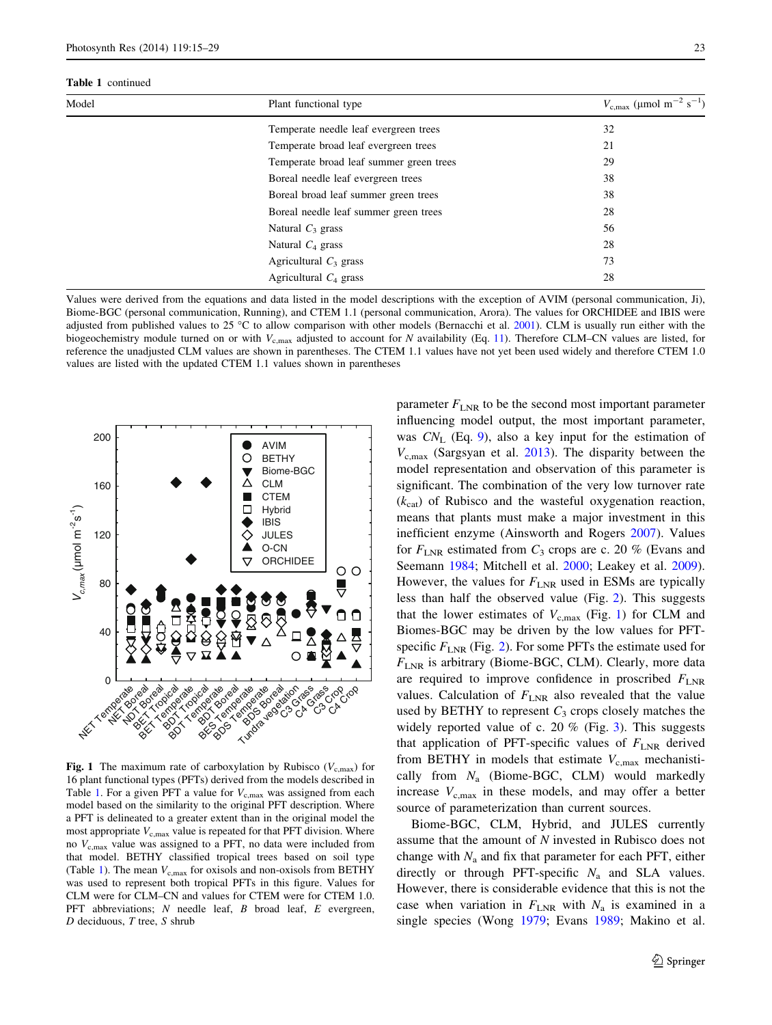#### <span id="page-8-0"></span>Table 1 continued

| Model | Plant functional type                   | $V_{\rm c,max}$ (µmol m <sup>-2</sup> s <sup>-1</sup> ) |
|-------|-----------------------------------------|---------------------------------------------------------|
|       | Temperate needle leaf evergreen trees   | 32                                                      |
|       | Temperate broad leaf evergreen trees    | 21                                                      |
|       | Temperate broad leaf summer green trees | 29                                                      |
|       | Boreal needle leaf evergreen trees      | 38                                                      |
|       | Boreal broad leaf summer green trees    | 38                                                      |
|       | Boreal needle leaf summer green trees   | 28                                                      |
|       | Natural $C_3$ grass                     | 56                                                      |
|       | Natural $C_4$ grass                     | 28                                                      |
|       | Agricultural $C_3$ grass                | 73                                                      |
|       | Agricultural $C_4$ grass                | 28                                                      |

Values were derived from the equations and data listed in the model descriptions with the exception of AVIM (personal communication, Ji), Biome-BGC (personal communication, Running), and CTEM 1.1 (personal communication, Arora). The values for ORCHIDEE and IBIS were adjusted from published values to 25 °C to allow comparison with other models (Bernacchi et al. [2001\)](#page-12-0). CLM is usually run either with the biogeochemistry module turned on or with  $V_{\text{c,max}}$  adjusted to account for N availability (Eq. [11](#page-3-0)). Therefore CLM–CN values are listed, for reference the unadjusted CLM values are shown in parentheses. The CTEM 1.1 values have not yet been used widely and therefore CTEM 1.0 values are listed with the updated CTEM 1.1 values shown in parentheses



Fig. 1 The maximum rate of carboxylation by Rubisco ( $V_{c,\text{max}}$ ) for 16 plant functional types (PFTs) derived from the models described in Table [1](#page-6-0). For a given PFT a value for  $V_{c,max}$  was assigned from each model based on the similarity to the original PFT description. Where a PFT is delineated to a greater extent than in the original model the most appropriate  $V_{\text{c,max}}$  value is repeated for that PFT division. Where no  $V_{c,max}$  value was assigned to a PFT, no data were included from that model. BETHY classified tropical trees based on soil type (Table [1](#page-6-0)). The mean  $V_{c,max}$  for oxisols and non-oxisols from BETHY was used to represent both tropical PFTs in this figure. Values for CLM were for CLM–CN and values for CTEM were for CTEM 1.0. PFT abbreviations; N needle leaf, B broad leaf, E evergreen,  $D$  deciduous,  $T$  tree,  $S$  shrub

parameter  $F_{\text{LNR}}$  to be the second most important parameter influencing model output, the most important parameter, was  $CN_L$  (Eq. [9\)](#page-3-0), also a key input for the estimation of  $V_{c,max}$  (Sargsyan et al. [2013\)](#page-13-0). The disparity between the model representation and observation of this parameter is significant. The combination of the very low turnover rate  $(k<sub>cat</sub>)$  of Rubisco and the wasteful oxygenation reaction, means that plants must make a major investment in this inefficient enzyme (Ainsworth and Rogers [2007\)](#page-11-0). Values for  $F_{\text{LNR}}$  estimated from  $C_3$  crops are c. 20 % (Evans and Seemann [1984](#page-12-0); Mitchell et al. [2000;](#page-13-0) Leakey et al. [2009](#page-13-0)). However, the values for  $F_{\text{LNR}}$  used in ESMs are typically less than half the observed value (Fig. [2](#page-9-0)). This suggests that the lower estimates of  $V_{c,max}$  (Fig. 1) for CLM and Biomes-BGC may be driven by the low values for PFTspecific  $F_{\text{LNR}}$  (Fig. [2\)](#page-9-0). For some PFTs the estimate used for  $F_{\text{LNR}}$  is arbitrary (Biome-BGC, CLM). Clearly, more data are required to improve confidence in proscribed  $F_{\text{LNR}}$ values. Calculation of  $F_{\text{LNR}}$  also revealed that the value used by BETHY to represent  $C_3$  crops closely matches the widely reported value of c. 20 % (Fig. [3](#page-9-0)). This suggests that application of PFT-specific values of  $F_{\text{LNR}}$  derived from BETHY in models that estimate  $V_{c,\text{max}}$  mechanistically from  $N_a$  (Biome-BGC, CLM) would markedly increase  $V_{\rm c,max}$  in these models, and may offer a better source of parameterization than current sources.

Biome-BGC, CLM, Hybrid, and JULES currently assume that the amount of N invested in Rubisco does not change with  $N_a$  and fix that parameter for each PFT, either directly or through PFT-specific  $N_a$  and SLA values. However, there is considerable evidence that this is not the case when variation in  $F_{\text{LNR}}$  with  $N_a$  is examined in a single species (Wong [1979](#page-14-0); Evans [1989;](#page-12-0) Makino et al.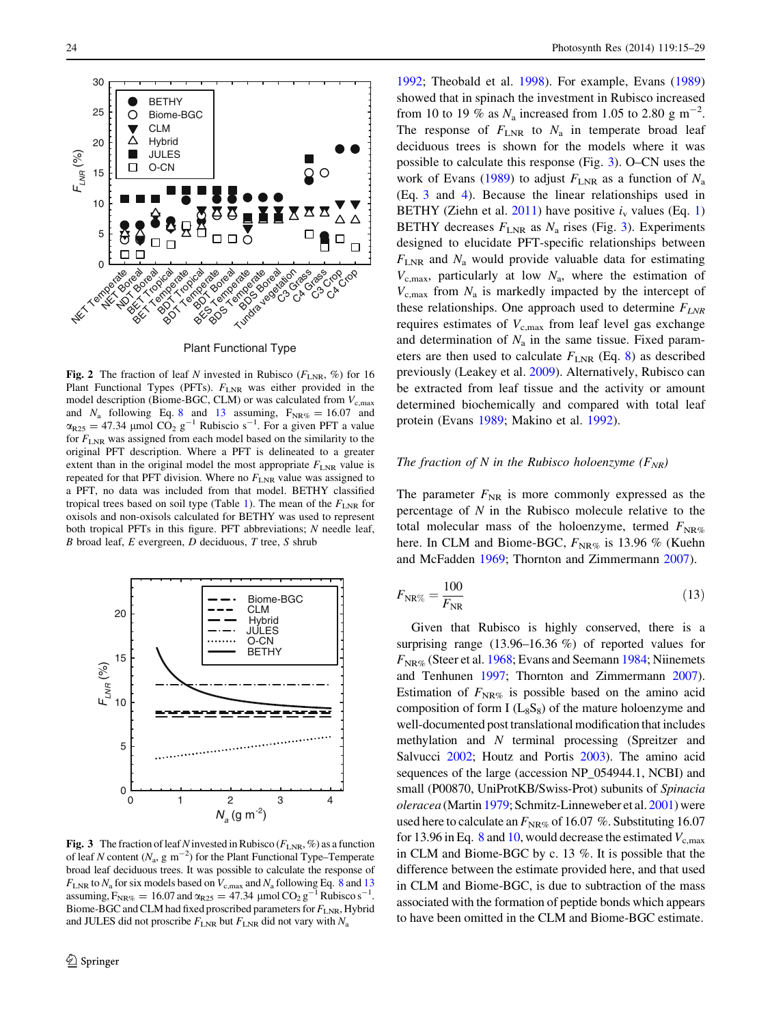<span id="page-9-0"></span>

Plant Functional Type

Fig. 2 The fraction of leaf N invested in Rubisco ( $F_{\text{LNR}}$ , %) for 16 Plant Functional Types (PFTs).  $F_{\text{LNR}}$  was either provided in the model description (Biome-BGC, CLM) or was calculated from  $V_{c,\text{max}}$ and  $N_a$  following Eq. [8](#page-3-0) and 13 assuming,  $F_{NR\%} = 16.07$  and  $\alpha_{R25} = 47.34$  µmol CO<sub>2</sub> g<sup>-1</sup> Rubiscio s<sup>-1</sup>. For a given PFT a value for  $F_{\text{LNR}}$  was assigned from each model based on the similarity to the original PFT description. Where a PFT is delineated to a greater extent than in the original model the most appropriate  $F_{\text{LNR}}$  value is repeated for that PFT division. Where no  $F_{\text{LNR}}$  value was assigned to a PFT, no data was included from that model. BETHY classified tropical trees based on soil type (Table [1](#page-6-0)). The mean of the  $F_{\text{LNR}}$  for oxisols and non-oxisols calculated for BETHY was used to represent both tropical PFTs in this figure. PFT abbreviations; N needle leaf,  $B$  broad leaf,  $E$  evergreen,  $D$  deciduous,  $T$  tree,  $S$  shrub



**Fig. 3** The fraction of leaf N invested in Rubisco ( $F_{\text{LNR}}$ , %) as a function of leaf N content ( $N_a$ , g m<sup>-2</sup>) for the Plant Functional Type–Temperate broad leaf deciduous trees. It was possible to calculate the response of  $F_{\text{LNR}}$  to  $N_{\text{a}}$  for six models based on  $V_{\text{c,max}}$  and  $N_{\text{a}}$  following Eq. [8](#page-3-0) and 13 assuming,  $F_{NR\%} = 16.07$  and  $\alpha_{R25} = 47.34$  µmol  $CO_2$  g<sup>-1</sup> Rubisco s<sup>-1</sup>. Biome-BGC and CLM had fixed proscribed parameters for  $F_{\text{LNR}}$ , Hybrid and JULES did not proscribe  $F_{\text{LNR}}$  but  $F_{\text{LNR}}$  did not vary with  $N_a$ 

[1992](#page-13-0); Theobald et al. [1998](#page-14-0)). For example, Evans ([1989\)](#page-12-0) showed that in spinach the investment in Rubisco increased from 10 to 19 % as  $N_a$  increased from 1.05 to 2.80 g m<sup>-2</sup>. The response of  $F_{\text{LNR}}$  to  $N_a$  in temperate broad leaf deciduous trees is shown for the models where it was possible to calculate this response (Fig. 3). O–CN uses the work of Evans ([1989\)](#page-12-0) to adjust  $F_{\text{LNR}}$  as a function of  $N_a$ (Eq. [3](#page-2-0) and [4](#page-2-0)). Because the linear relationships used in BETHY (Ziehn et al. [2011\)](#page-14-0) have positive  $i_v$  values (Eq. [1\)](#page-1-0) BETHY decreases  $F_{\text{LNR}}$  as  $N_a$  rises (Fig. 3). Experiments designed to elucidate PFT-specific relationships between  $F_{\text{LNR}}$  and  $N_a$  would provide valuable data for estimating  $V_{c,max}$ , particularly at low  $N_a$ , where the estimation of  $V_{\text{c,max}}$  from  $N_a$  is markedly impacted by the intercept of these relationships. One approach used to determine  $F_{LNR}$ requires estimates of  $V_{c,max}$  from leaf level gas exchange and determination of  $N_a$  in the same tissue. Fixed parameters are then used to calculate  $F_{\text{LNR}}$  (Eq. [8](#page-3-0)) as described previously (Leakey et al. [2009\)](#page-13-0). Alternatively, Rubisco can be extracted from leaf tissue and the activity or amount determined biochemically and compared with total leaf protein (Evans [1989;](#page-12-0) Makino et al. [1992](#page-13-0)).

#### The fraction of N in the Rubisco holoenzyme  $(F_{NR})$

The parameter  $F_{NR}$  is more commonly expressed as the percentage of  $N$  in the Rubisco molecule relative to the total molecular mass of the holoenzyme, termed  $F_{\text{NR}\%}$ here. In CLM and Biome-BGC,  $F_{NR\%}$  is 13.96 % (Kuehn and McFadden [1969;](#page-13-0) Thornton and Zimmermann [2007](#page-14-0)).

$$
F_{\text{NR}\%} = \frac{100}{F_{\text{NR}}} \tag{13}
$$

Given that Rubisco is highly conserved, there is a surprising range (13.96–16.36 %) of reported values for  $F_{\text{NR}\%}$  (Steer et al. [1968](#page-14-0); Evans and Seemann [1984](#page-12-0); Niinemets and Tenhunen [1997](#page-13-0); Thornton and Zimmermann [2007\)](#page-14-0). Estimation of  $F_{\text{NR}\%}$  is possible based on the amino acid composition of form I  $(L_8S_8)$  of the mature holoenzyme and well-documented post translational modification that includes methylation and N terminal processing (Spreitzer and Salvucci [2002](#page-14-0); Houtz and Portis [2003](#page-12-0)). The amino acid sequences of the large (accession NP\_054944.1, NCBI) and small (P00870, UniProtKB/Swiss-Prot) subunits of Spinacia oleracea (Martin [1979;](#page-13-0) Schmitz-Linneweber et al. [2001](#page-13-0)) were used here to calculate an  $F_{\text{NR}\%}$  of 16.07 %. Substituting 16.07 for 13.96 in Eq. [8](#page-3-0) and [10](#page-3-0), would decrease the estimated  $V_{c,\text{max}}$ in CLM and Biome-BGC by c. 13 %. It is possible that the difference between the estimate provided here, and that used in CLM and Biome-BGC, is due to subtraction of the mass associated with the formation of peptide bonds which appears to have been omitted in the CLM and Biome-BGC estimate.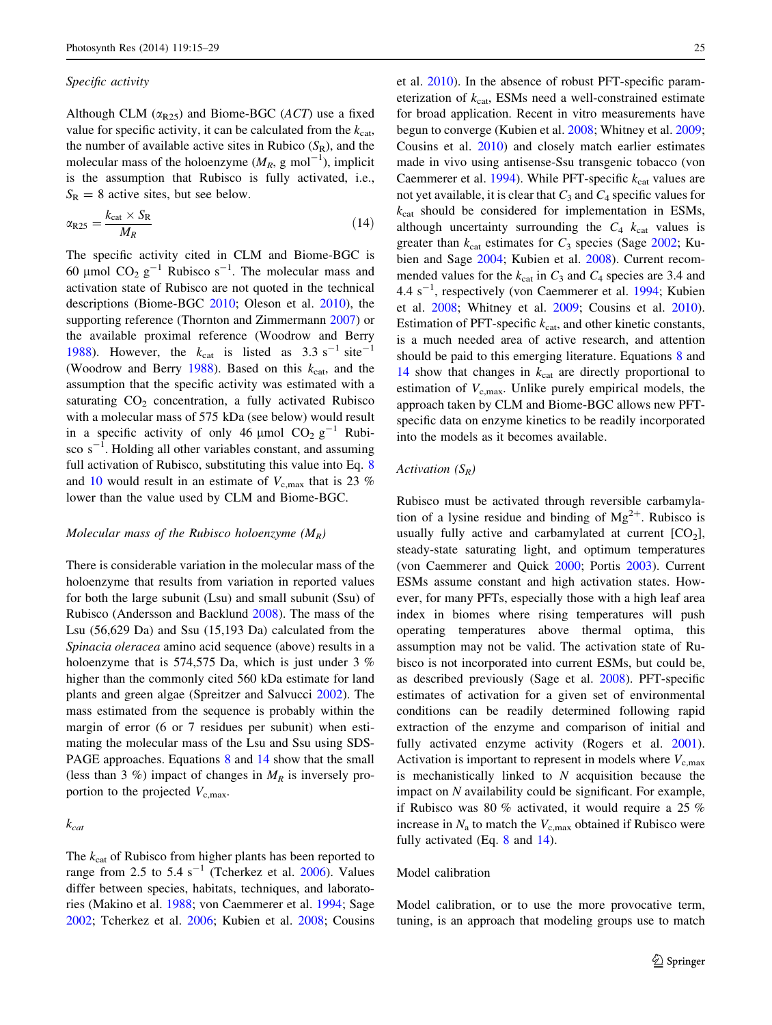## Specific activity

Although CLM ( $\alpha_{R25}$ ) and Biome-BGC (ACT) use a fixed value for specific activity, it can be calculated from the  $k_{\text{cat}}$ , the number of available active sites in Rubico  $(S_R)$ , and the molecular mass of the holoenzyme  $(M_R, g \text{ mol}^{-1})$ , implicit is the assumption that Rubisco is fully activated, i.e.,  $S_R = 8$  active sites, but see below.

$$
\alpha_{R25} = \frac{k_{cat} \times S_R}{M_R} \tag{14}
$$

The specific activity cited in CLM and Biome-BGC is 60 µmol  $CO_2$   $g^{-1}$  Rubisco s<sup>-1</sup>. The molecular mass and activation state of Rubisco are not quoted in the technical descriptions (Biome-BGC [2010;](#page-12-0) Oleson et al. [2010\)](#page-13-0), the supporting reference (Thornton and Zimmermann [2007\)](#page-14-0) or the available proximal reference (Woodrow and Berry [1988\)](#page-14-0). However, the  $k_{cat}$  is listed as 3.3 s<sup>-1</sup> site<sup>-1</sup> (Woodrow and Berry [1988\)](#page-14-0). Based on this  $k_{\text{cat}}$ , and the assumption that the specific activity was estimated with a saturating  $CO<sub>2</sub>$  concentration, a fully activated Rubisco with a molecular mass of 575 kDa (see below) would result in a specific activity of only 46  $\mu$ mol CO<sub>2</sub> g<sup>-1</sup> Rubisco  $s^{-1}$ . Holding all other variables constant, and assuming full activation of Rubisco, substituting this value into Eq. [8](#page-3-0) and [10](#page-3-0) would result in an estimate of  $V_{c,\text{max}}$  that is 23 % lower than the value used by CLM and Biome-BGC.

#### Molecular mass of the Rubisco holoenzyme  $(M_R)$

There is considerable variation in the molecular mass of the holoenzyme that results from variation in reported values for both the large subunit (Lsu) and small subunit (Ssu) of Rubisco (Andersson and Backlund [2008\)](#page-11-0). The mass of the Lsu (56,629 Da) and Ssu (15,193 Da) calculated from the Spinacia oleracea amino acid sequence (above) results in a holoenzyme that is 574,575 Da, which is just under 3 % higher than the commonly cited 560 kDa estimate for land plants and green algae (Spreitzer and Salvucci [2002](#page-14-0)). The mass estimated from the sequence is probably within the margin of error (6 or 7 residues per subunit) when estimating the molecular mass of the Lsu and Ssu using SDS-PAGE approaches. Equations [8](#page-3-0) and 14 show that the small (less than 3 %) impact of changes in  $M_R$  is inversely proportion to the projected  $V_{\rm c,max}$ .

 $k_{cat}$ 

The  $k_{\text{cat}}$  of Rubisco from higher plants has been reported to range from 2.5 to 5.4  $s^{-1}$  (Tcherkez et al. [2006\)](#page-14-0). Values differ between species, habitats, techniques, and laboratories (Makino et al. [1988](#page-13-0); von Caemmerer et al. [1994](#page-14-0); Sage [2002;](#page-13-0) Tcherkez et al. [2006;](#page-14-0) Kubien et al. [2008](#page-13-0); Cousins et al. [2010\)](#page-12-0). In the absence of robust PFT-specific parameterization of  $k_{cat}$ , ESMs need a well-constrained estimate for broad application. Recent in vitro measurements have begun to converge (Kubien et al. [2008](#page-13-0); Whitney et al. [2009](#page-14-0); Cousins et al. [2010\)](#page-12-0) and closely match earlier estimates made in vivo using antisense-Ssu transgenic tobacco (von Caemmerer et al. [1994](#page-14-0)). While PFT-specific  $k_{cat}$  values are not yet available, it is clear that  $C_3$  and  $C_4$  specific values for  $k_{cat}$  should be considered for implementation in ESMs, although uncertainty surrounding the  $C_4$   $k_{cat}$  values is greater than  $k_{cat}$  estimates for  $C_3$  species (Sage [2002;](#page-13-0) Kubien and Sage [2004](#page-13-0); Kubien et al. [2008](#page-13-0)). Current recommended values for the  $k_{cat}$  in  $C_3$  and  $C_4$  species are 3.4 and 4.4 s<sup>-1</sup>, respectively (von Caemmerer et al. [1994;](#page-14-0) Kubien et al. [2008;](#page-13-0) Whitney et al. [2009;](#page-14-0) Cousins et al. [2010](#page-12-0)). Estimation of PFT-specific  $k_{cat}$ , and other kinetic constants, is a much needed area of active research, and attention should be paid to this emerging literature. Equations [8](#page-3-0) and 14 show that changes in  $k_{cat}$  are directly proportional to estimation of  $V_{\rm c,max}$ . Unlike purely empirical models, the approach taken by CLM and Biome-BGC allows new PFTspecific data on enzyme kinetics to be readily incorporated into the models as it becomes available.

## Activation  $(S_R)$

Rubisco must be activated through reversible carbamylation of a lysine residue and binding of  $Mg^{2+}$ . Rubisco is usually fully active and carbamylated at current  $[CO<sub>2</sub>]$ , steady-state saturating light, and optimum temperatures (von Caemmerer and Quick [2000](#page-14-0); Portis [2003](#page-13-0)). Current ESMs assume constant and high activation states. However, for many PFTs, especially those with a high leaf area index in biomes where rising temperatures will push operating temperatures above thermal optima, this assumption may not be valid. The activation state of Rubisco is not incorporated into current ESMs, but could be, as described previously (Sage et al. [2008\)](#page-13-0). PFT-specific estimates of activation for a given set of environmental conditions can be readily determined following rapid extraction of the enzyme and comparison of initial and fully activated enzyme activity (Rogers et al. [2001](#page-13-0)). Activation is important to represent in models where  $V_{\rm c,max}$ is mechanistically linked to  $N$  acquisition because the impact on N availability could be significant. For example, if Rubisco was 80 % activated, it would require a 25 % increase in  $N_a$  to match the  $V_{c,\text{max}}$  obtained if Rubisco were fully activated (Eq. [8](#page-3-0) and 14).

## Model calibration

Model calibration, or to use the more provocative term, tuning, is an approach that modeling groups use to match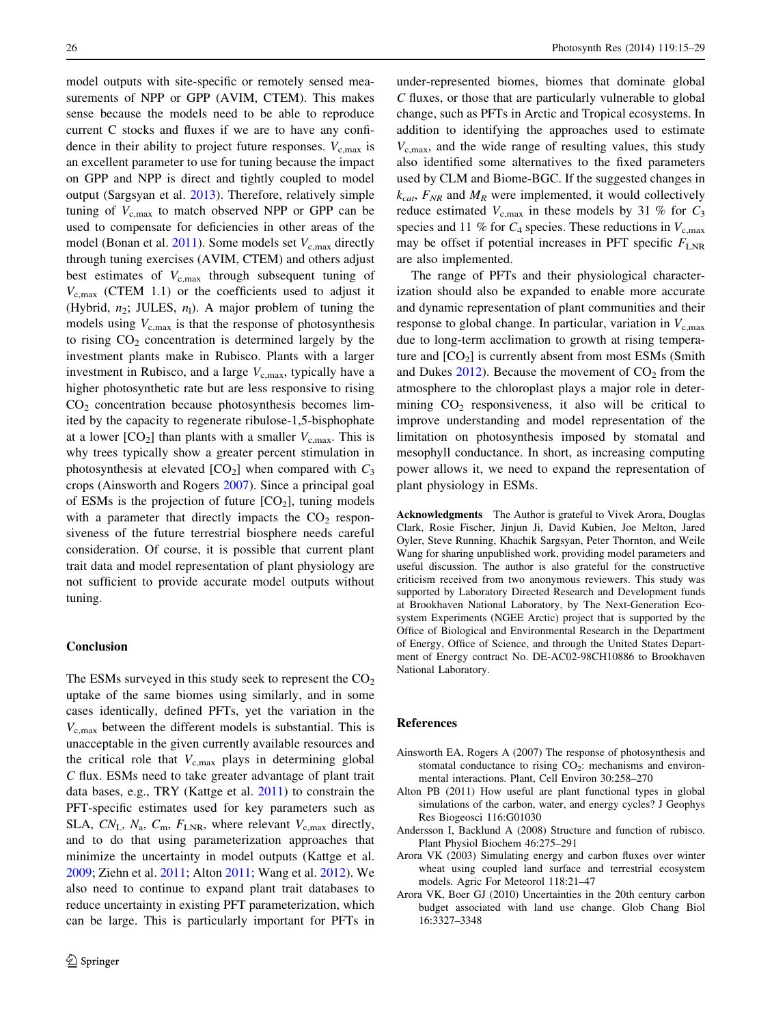<span id="page-11-0"></span>model outputs with site-specific or remotely sensed measurements of NPP or GPP (AVIM, CTEM). This makes sense because the models need to be able to reproduce current C stocks and fluxes if we are to have any confidence in their ability to project future responses.  $V_{c,max}$  is an excellent parameter to use for tuning because the impact on GPP and NPP is direct and tightly coupled to model output (Sargsyan et al. [2013\)](#page-13-0). Therefore, relatively simple tuning of  $V_{\rm c,max}$  to match observed NPP or GPP can be used to compensate for deficiencies in other areas of the model (Bonan et al.  $2011$ ). Some models set  $V_{c,\text{max}}$  directly through tuning exercises (AVIM, CTEM) and others adjust best estimates of  $V_{\rm c,max}$  through subsequent tuning of  $V_{c,max}$  (CTEM 1.1) or the coefficients used to adjust it (Hybrid,  $n_2$ ; JULES,  $n_1$ ). A major problem of tuning the models using  $V_{\rm c,max}$  is that the response of photosynthesis to rising  $CO<sub>2</sub>$  concentration is determined largely by the investment plants make in Rubisco. Plants with a larger investment in Rubisco, and a large  $V_{\text{c,max}}$ , typically have a higher photosynthetic rate but are less responsive to rising  $CO<sub>2</sub>$  concentration because photosynthesis becomes limited by the capacity to regenerate ribulose-1,5-bisphophate at a lower  $[CO_2]$  than plants with a smaller  $V_{c,max}$ . This is why trees typically show a greater percent stimulation in photosynthesis at elevated  $[CO_2]$  when compared with  $C_3$ crops (Ainsworth and Rogers 2007). Since a principal goal of ESMs is the projection of future  $[CO<sub>2</sub>]$ , tuning models with a parameter that directly impacts the  $CO<sub>2</sub>$  responsiveness of the future terrestrial biosphere needs careful consideration. Of course, it is possible that current plant trait data and model representation of plant physiology are not sufficient to provide accurate model outputs without tuning.

#### Conclusion

The ESMs surveyed in this study seek to represent the  $CO<sub>2</sub>$ uptake of the same biomes using similarly, and in some cases identically, defined PFTs, yet the variation in the  $V_{\rm c,max}$  between the different models is substantial. This is unacceptable in the given currently available resources and the critical role that  $V_{\rm c,max}$  plays in determining global C flux. ESMs need to take greater advantage of plant trait data bases, e.g., TRY (Kattge et al. [2011](#page-12-0)) to constrain the PFT-specific estimates used for key parameters such as SLA,  $CN_{\rm L}$ ,  $N_{\rm a}$ ,  $C_{\rm m}$ ,  $F_{\rm LNR}$ , where relevant  $V_{\rm c,max}$  directly, and to do that using parameterization approaches that minimize the uncertainty in model outputs (Kattge et al. [2009;](#page-12-0) Ziehn et al. [2011;](#page-14-0) Alton 2011; Wang et al. [2012](#page-14-0)). We also need to continue to expand plant trait databases to reduce uncertainty in existing PFT parameterization, which can be large. This is particularly important for PFTs in under-represented biomes, biomes that dominate global C fluxes, or those that are particularly vulnerable to global change, such as PFTs in Arctic and Tropical ecosystems. In addition to identifying the approaches used to estimate  $V_{c,max}$ , and the wide range of resulting values, this study also identified some alternatives to the fixed parameters used by CLM and Biome-BGC. If the suggested changes in  $k_{cat}$ ,  $F_{NR}$  and  $M_R$  were implemented, it would collectively reduce estimated  $V_{\text{c,max}}$  in these models by 31 % for  $C_3$ species and 11 % for  $C_4$  species. These reductions in  $V_{c,max}$ may be offset if potential increases in PFT specific  $F_{\text{LNR}}$ are also implemented.

The range of PFTs and their physiological characterization should also be expanded to enable more accurate and dynamic representation of plant communities and their response to global change. In particular, variation in  $V_{\rm c,max}$ due to long-term acclimation to growth at rising temperature and  $[CO<sub>2</sub>]$  is currently absent from most ESMs (Smith and Dukes  $2012$ ). Because the movement of  $CO<sub>2</sub>$  from the atmosphere to the chloroplast plays a major role in determining  $CO<sub>2</sub>$  responsiveness, it also will be critical to improve understanding and model representation of the limitation on photosynthesis imposed by stomatal and mesophyll conductance. In short, as increasing computing power allows it, we need to expand the representation of plant physiology in ESMs.

Acknowledgments The Author is grateful to Vivek Arora, Douglas Clark, Rosie Fischer, Jinjun Ji, David Kubien, Joe Melton, Jared Oyler, Steve Running, Khachik Sargsyan, Peter Thornton, and Weile Wang for sharing unpublished work, providing model parameters and useful discussion. The author is also grateful for the constructive criticism received from two anonymous reviewers. This study was supported by Laboratory Directed Research and Development funds at Brookhaven National Laboratory, by The Next-Generation Ecosystem Experiments (NGEE Arctic) project that is supported by the Office of Biological and Environmental Research in the Department of Energy, Office of Science, and through the United States Department of Energy contract No. DE-AC02-98CH10886 to Brookhaven National Laboratory.

## References

- Ainsworth EA, Rogers A (2007) The response of photosynthesis and stomatal conductance to rising  $CO<sub>2</sub>$ : mechanisms and environmental interactions. Plant, Cell Environ 30:258–270
- Alton PB (2011) How useful are plant functional types in global simulations of the carbon, water, and energy cycles? J Geophys Res Biogeosci 116:G01030
- Andersson I, Backlund A (2008) Structure and function of rubisco. Plant Physiol Biochem 46:275–291
- Arora VK (2003) Simulating energy and carbon fluxes over winter wheat using coupled land surface and terrestrial ecosystem models. Agric For Meteorol 118:21–47
- Arora VK, Boer GJ (2010) Uncertainties in the 20th century carbon budget associated with land use change. Glob Chang Biol 16:3327–3348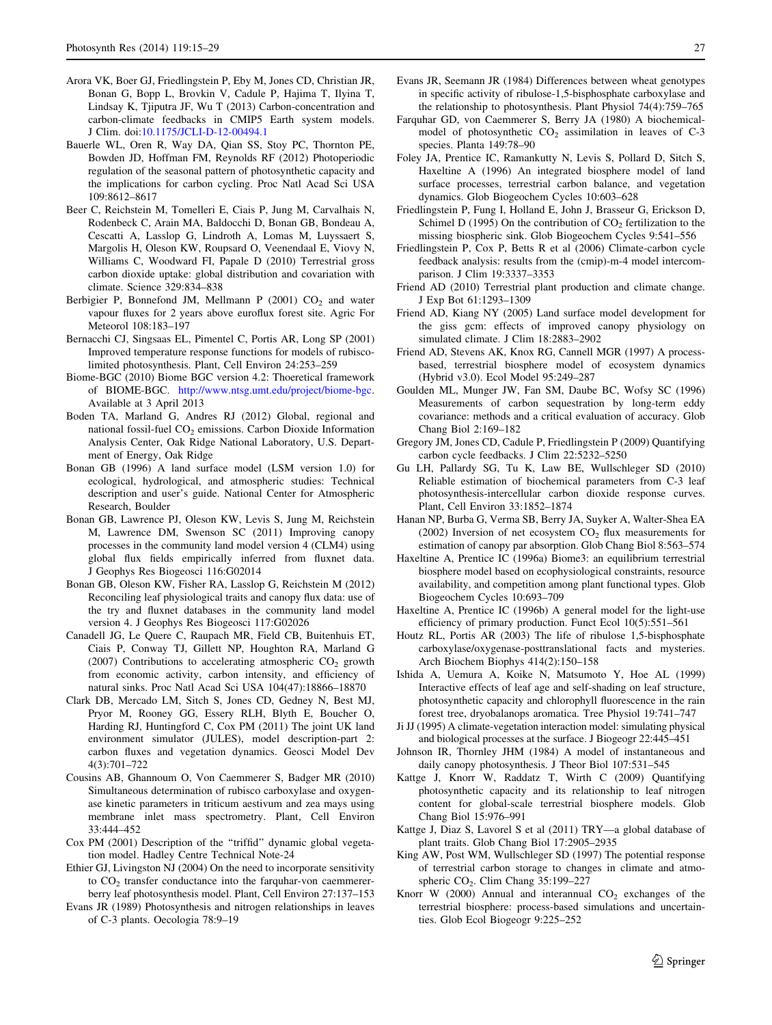- <span id="page-12-0"></span>Arora VK, Boer GJ, Friedlingstein P, Eby M, Jones CD, Christian JR, Bonan G, Bopp L, Brovkin V, Cadule P, Hajima T, Ilyina T, Lindsay K, Tjiputra JF, Wu T (2013) Carbon-concentration and carbon-climate feedbacks in CMIP5 Earth system models. J Clim. doi[:10.1175/JCLI-D-12-00494.1](http://dx.doi.org/10.1175/JCLI-D-12-00494.1)
- Bauerle WL, Oren R, Way DA, Qian SS, Stoy PC, Thornton PE, Bowden JD, Hoffman FM, Reynolds RF (2012) Photoperiodic regulation of the seasonal pattern of photosynthetic capacity and the implications for carbon cycling. Proc Natl Acad Sci USA 109:8612–8617
- Beer C, Reichstein M, Tomelleri E, Ciais P, Jung M, Carvalhais N, Rodenbeck C, Arain MA, Baldocchi D, Bonan GB, Bondeau A, Cescatti A, Lasslop G, Lindroth A, Lomas M, Luyssaert S, Margolis H, Oleson KW, Roupsard O, Veenendaal E, Viovy N, Williams C, Woodward FI, Papale D (2010) Terrestrial gross carbon dioxide uptake: global distribution and covariation with climate. Science 329:834–838
- Berbigier P, Bonnefond JM, Mellmann P  $(2001)$  CO<sub>2</sub> and water vapour fluxes for 2 years above euroflux forest site. Agric For Meteorol 108:183–197
- Bernacchi CJ, Singsaas EL, Pimentel C, Portis AR, Long SP (2001) Improved temperature response functions for models of rubiscolimited photosynthesis. Plant, Cell Environ 24:253–259
- Biome-BGC (2010) Biome BGC version 4.2: Thoeretical framework of BIOME-BGC. <http://www.ntsg.umt.edu/project/biome-bgc>. Available at 3 April 2013
- Boden TA, Marland G, Andres RJ (2012) Global, regional and national fossil-fuel CO<sub>2</sub> emissions. Carbon Dioxide Information Analysis Center, Oak Ridge National Laboratory, U.S. Department of Energy, Oak Ridge
- Bonan GB (1996) A land surface model (LSM version 1.0) for ecological, hydrological, and atmospheric studies: Technical description and user's guide. National Center for Atmospheric Research, Boulder
- Bonan GB, Lawrence PJ, Oleson KW, Levis S, Jung M, Reichstein M, Lawrence DM, Swenson SC (2011) Improving canopy processes in the community land model version 4 (CLM4) using global flux fields empirically inferred from fluxnet data. J Geophys Res Biogeosci 116:G02014
- Bonan GB, Oleson KW, Fisher RA, Lasslop G, Reichstein M (2012) Reconciling leaf physiological traits and canopy flux data: use of the try and fluxnet databases in the community land model version 4. J Geophys Res Biogeosci 117:G02026
- Canadell JG, Le Quere C, Raupach MR, Field CB, Buitenhuis ET, Ciais P, Conway TJ, Gillett NP, Houghton RA, Marland G (2007) Contributions to accelerating atmospheric  $CO<sub>2</sub>$  growth from economic activity, carbon intensity, and efficiency of natural sinks. Proc Natl Acad Sci USA 104(47):18866–18870
- Clark DB, Mercado LM, Sitch S, Jones CD, Gedney N, Best MJ, Pryor M, Rooney GG, Essery RLH, Blyth E, Boucher O, Harding RJ, Huntingford C, Cox PM (2011) The joint UK land environment simulator (JULES), model description-part 2: carbon fluxes and vegetation dynamics. Geosci Model Dev 4(3):701–722
- Cousins AB, Ghannoum O, Von Caemmerer S, Badger MR (2010) Simultaneous determination of rubisco carboxylase and oxygenase kinetic parameters in triticum aestivum and zea mays using membrane inlet mass spectrometry. Plant, Cell Environ 33:444–452
- Cox PM (2001) Description of the ''triffid'' dynamic global vegetation model. Hadley Centre Technical Note-24
- Ethier GJ, Livingston NJ (2004) On the need to incorporate sensitivity to  $CO<sub>2</sub>$  transfer conductance into the farquhar-von caemmererberry leaf photosynthesis model. Plant, Cell Environ 27:137–153
- Evans JR (1989) Photosynthesis and nitrogen relationships in leaves of C-3 plants. Oecologia 78:9–19
- Evans JR, Seemann JR (1984) Differences between wheat genotypes in specific activity of ribulose-1,5-bisphosphate carboxylase and the relationship to photosynthesis. Plant Physiol 74(4):759–765
- Farquhar GD, von Caemmerer S, Berry JA (1980) A biochemicalmodel of photosynthetic  $CO<sub>2</sub>$  assimilation in leaves of  $C<sub>-3</sub>$ species. Planta 149:78–90
- Foley JA, Prentice IC, Ramankutty N, Levis S, Pollard D, Sitch S, Haxeltine A (1996) An integrated biosphere model of land surface processes, terrestrial carbon balance, and vegetation dynamics. Glob Biogeochem Cycles 10:603–628
- Friedlingstein P, Fung I, Holland E, John J, Brasseur G, Erickson D, Schimel D (1995) On the contribution of  $CO<sub>2</sub>$  fertilization to the missing biospheric sink. Glob Biogeochem Cycles 9:541–556
- Friedlingstein P, Cox P, Betts R et al (2006) Climate-carbon cycle feedback analysis: results from the (cmip)-m-4 model intercomparison. J Clim 19:3337–3353
- Friend AD (2010) Terrestrial plant production and climate change. J Exp Bot 61:1293–1309
- Friend AD, Kiang NY (2005) Land surface model development for the giss gcm: effects of improved canopy physiology on simulated climate. J Clim 18:2883–2902
- Friend AD, Stevens AK, Knox RG, Cannell MGR (1997) A processbased, terrestrial biosphere model of ecosystem dynamics (Hybrid v3.0). Ecol Model 95:249–287
- Goulden ML, Munger JW, Fan SM, Daube BC, Wofsy SC (1996) Measurements of carbon sequestration by long-term eddy covariance: methods and a critical evaluation of accuracy. Glob Chang Biol 2:169–182
- Gregory JM, Jones CD, Cadule P, Friedlingstein P (2009) Quantifying carbon cycle feedbacks. J Clim 22:5232–5250
- Gu LH, Pallardy SG, Tu K, Law BE, Wullschleger SD (2010) Reliable estimation of biochemical parameters from C-3 leaf photosynthesis-intercellular carbon dioxide response curves. Plant, Cell Environ 33:1852–1874
- Hanan NP, Burba G, Verma SB, Berry JA, Suyker A, Walter-Shea EA (2002) Inversion of net ecosystem  $CO<sub>2</sub>$  flux measurements for estimation of canopy par absorption. Glob Chang Biol 8:563–574
- Haxeltine A, Prentice IC (1996a) Biome3: an equilibrium terrestrial biosphere model based on ecophysiological constraints, resource availability, and competition among plant functional types. Glob Biogeochem Cycles 10:693–709
- Haxeltine A, Prentice IC (1996b) A general model for the light-use efficiency of primary production. Funct Ecol 10(5):551–561
- Houtz RL, Portis AR (2003) The life of ribulose 1,5-bisphosphate carboxylase/oxygenase-posttranslational facts and mysteries. Arch Biochem Biophys 414(2):150–158
- Ishida A, Uemura A, Koike N, Matsumoto Y, Hoe AL (1999) Interactive effects of leaf age and self-shading on leaf structure, photosynthetic capacity and chlorophyll fluorescence in the rain forest tree, dryobalanops aromatica. Tree Physiol 19:741–747
- Ji JJ (1995) A climate-vegetation interaction model: simulating physical and biological processes at the surface. J Biogeogr 22:445–451
- Johnson IR, Thornley JHM (1984) A model of instantaneous and daily canopy photosynthesis. J Theor Biol 107:531–545
- Kattge J, Knorr W, Raddatz T, Wirth C (2009) Quantifying photosynthetic capacity and its relationship to leaf nitrogen content for global-scale terrestrial biosphere models. Glob Chang Biol 15:976–991
- Kattge J, Diaz S, Lavorel S et al (2011) TRY—a global database of plant traits. Glob Chang Biol 17:2905–2935
- King AW, Post WM, Wullschleger SD (1997) The potential response of terrestrial carbon storage to changes in climate and atmospheric  $CO<sub>2</sub>$ . Clim Chang 35:199–227
- Knorr W (2000) Annual and interannual  $CO<sub>2</sub>$  exchanges of the terrestrial biosphere: process-based simulations and uncertainties. Glob Ecol Biogeogr 9:225–252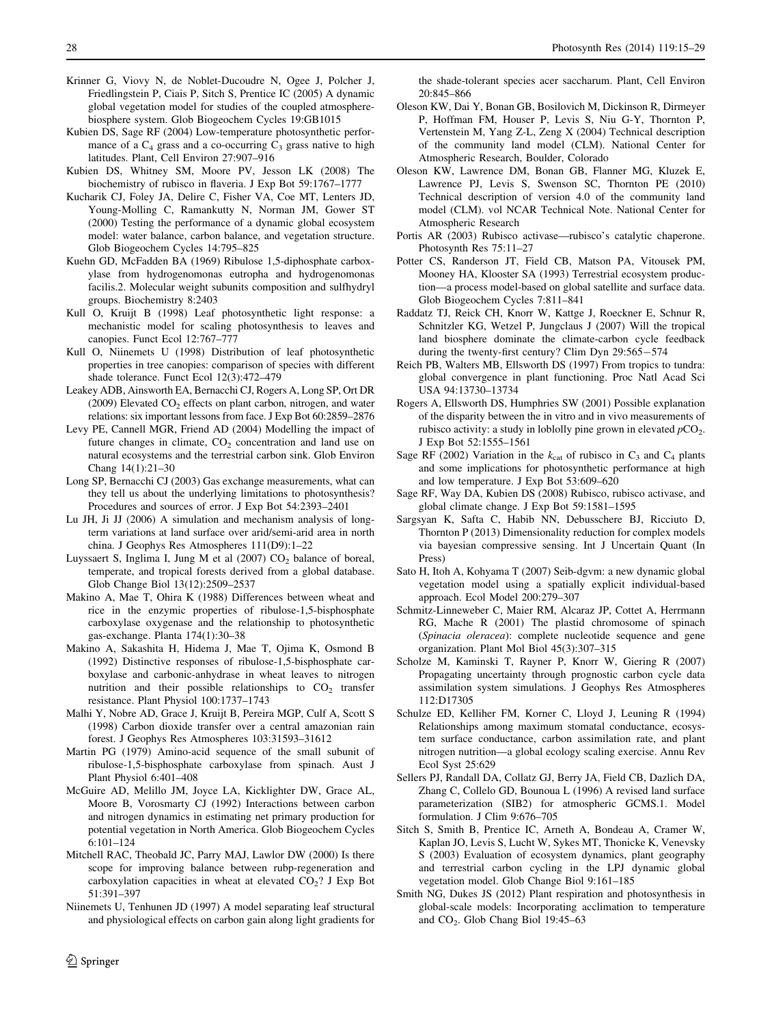- <span id="page-13-0"></span>Krinner G, Viovy N, de Noblet-Ducoudre N, Ogee J, Polcher J, Friedlingstein P, Ciais P, Sitch S, Prentice IC (2005) A dynamic global vegetation model for studies of the coupled atmospherebiosphere system. Glob Biogeochem Cycles 19:GB1015
- Kubien DS, Sage RF (2004) Low-temperature photosynthetic performance of a  $C_4$  grass and a co-occurring  $C_3$  grass native to high latitudes. Plant, Cell Environ 27:907–916
- Kubien DS, Whitney SM, Moore PV, Jesson LK (2008) The biochemistry of rubisco in flaveria. J Exp Bot 59:1767–1777
- Kucharik CJ, Foley JA, Delire C, Fisher VA, Coe MT, Lenters JD, Young-Molling C, Ramankutty N, Norman JM, Gower ST (2000) Testing the performance of a dynamic global ecosystem model: water balance, carbon balance, and vegetation structure. Glob Biogeochem Cycles 14:795–825
- Kuehn GD, McFadden BA (1969) Ribulose 1,5-diphosphate carboxylase from hydrogenomonas eutropha and hydrogenomonas facilis.2. Molecular weight subunits composition and sulfhydryl groups. Biochemistry 8:2403
- Kull O, Kruijt B (1998) Leaf photosynthetic light response: a mechanistic model for scaling photosynthesis to leaves and canopies. Funct Ecol 12:767–777
- Kull O, Niinemets U (1998) Distribution of leaf photosynthetic properties in tree canopies: comparison of species with different shade tolerance. Funct Ecol 12(3):472–479
- Leakey ADB, Ainsworth EA, Bernacchi CJ, Rogers A, Long SP, Ort DR (2009) Elevated  $CO<sub>2</sub>$  effects on plant carbon, nitrogen, and water relations: six important lessons from face. J Exp Bot 60:2859–2876
- Levy PE, Cannell MGR, Friend AD (2004) Modelling the impact of future changes in climate,  $CO<sub>2</sub>$  concentration and land use on natural ecosystems and the terrestrial carbon sink. Glob Environ Chang 14(1):21–30
- Long SP, Bernacchi CJ (2003) Gas exchange measurements, what can they tell us about the underlying limitations to photosynthesis? Procedures and sources of error. J Exp Bot 54:2393–2401
- Lu JH, Ji JJ (2006) A simulation and mechanism analysis of longterm variations at land surface over arid/semi-arid area in north china. J Geophys Res Atmospheres 111(D9):1–22
- Luyssaert S, Inglima I, Jung M et al  $(2007)$  CO<sub>2</sub> balance of boreal, temperate, and tropical forests derived from a global database. Glob Change Biol 13(12):2509–2537
- Makino A, Mae T, Ohira K (1988) Differences between wheat and rice in the enzymic properties of ribulose-1,5-bisphosphate carboxylase oxygenase and the relationship to photosynthetic gas-exchange. Planta 174(1):30–38
- Makino A, Sakashita H, Hidema J, Mae T, Ojima K, Osmond B (1992) Distinctive responses of ribulose-1,5-bisphosphate carboxylase and carbonic-anhydrase in wheat leaves to nitrogen nutrition and their possible relationships to  $CO<sub>2</sub>$  transfer resistance. Plant Physiol 100:1737–1743
- Malhi Y, Nobre AD, Grace J, Kruijt B, Pereira MGP, Culf A, Scott S (1998) Carbon dioxide transfer over a central amazonian rain forest. J Geophys Res Atmospheres 103:31593–31612
- Martin PG (1979) Amino-acid sequence of the small subunit of ribulose-1,5-bisphosphate carboxylase from spinach. Aust J Plant Physiol 6:401–408
- McGuire AD, Melillo JM, Joyce LA, Kicklighter DW, Grace AL, Moore B, Vorosmarty CJ (1992) Interactions between carbon and nitrogen dynamics in estimating net primary production for potential vegetation in North America. Glob Biogeochem Cycles 6:101–124
- Mitchell RAC, Theobald JC, Parry MAJ, Lawlor DW (2000) Is there scope for improving balance between rubp-regeneration and carboxylation capacities in wheat at elevated  $CO<sub>2</sub>$ ? J Exp Bot 51:391–397
- Niinemets U, Tenhunen JD (1997) A model separating leaf structural and physiological effects on carbon gain along light gradients for

 $\textcircled{2}$  Springer

the shade-tolerant species acer saccharum. Plant, Cell Environ 20:845–866

- Oleson KW, Dai Y, Bonan GB, Bosilovich M, Dickinson R, Dirmeyer P, Hoffman FM, Houser P, Levis S, Niu G-Y, Thornton P, Vertenstein M, Yang Z-L, Zeng X (2004) Technical description of the community land model (CLM). National Center for Atmospheric Research, Boulder, Colorado
- Oleson KW, Lawrence DM, Bonan GB, Flanner MG, Kluzek E, Lawrence PJ, Levis S, Swenson SC, Thornton PE (2010) Technical description of version 4.0 of the community land model (CLM). vol NCAR Technical Note. National Center for Atmospheric Research
- Portis AR (2003) Rubisco activase—rubisco's catalytic chaperone. Photosynth Res 75:11–27
- Potter CS, Randerson JT, Field CB, Matson PA, Vitousek PM, Mooney HA, Klooster SA (1993) Terrestrial ecosystem production—a process model-based on global satellite and surface data. Glob Biogeochem Cycles 7:811–841
- Raddatz TJ, Reick CH, Knorr W, Kattge J, Roeckner E, Schnur R, Schnitzler KG, Wetzel P, Jungclaus J (2007) Will the tropical land biosphere dominate the climate-carbon cycle feedback during the twenty-first century? Clim Dyn 29:565-574
- Reich PB, Walters MB, Ellsworth DS (1997) From tropics to tundra: global convergence in plant functioning. Proc Natl Acad Sci USA 94:13730–13734
- Rogers A, Ellsworth DS, Humphries SW (2001) Possible explanation of the disparity between the in vitro and in vivo measurements of rubisco activity: a study in loblolly pine grown in elevated  $pCO<sub>2</sub>$ . J Exp Bot 52:1555–1561
- Sage RF (2002) Variation in the  $k_{cat}$  of rubisco in  $C_3$  and  $C_4$  plants and some implications for photosynthetic performance at high and low temperature. J Exp Bot 53:609–620
- Sage RF, Way DA, Kubien DS (2008) Rubisco, rubisco activase, and global climate change. J Exp Bot 59:1581–1595
- Sargsyan K, Safta C, Habib NN, Debusschere BJ, Ricciuto D, Thornton P (2013) Dimensionality reduction for complex models via bayesian compressive sensing. Int J Uncertain Quant (In Press)
- Sato H, Itoh A, Kohyama T (2007) Seib-dgvm: a new dynamic global vegetation model using a spatially explicit individual-based approach. Ecol Model 200:279–307
- Schmitz-Linneweber C, Maier RM, Alcaraz JP, Cottet A, Herrmann RG, Mache R (2001) The plastid chromosome of spinach (Spinacia oleracea): complete nucleotide sequence and gene organization. Plant Mol Biol 45(3):307–315
- Scholze M, Kaminski T, Rayner P, Knorr W, Giering R (2007) Propagating uncertainty through prognostic carbon cycle data assimilation system simulations. J Geophys Res Atmospheres 112:D17305
- Schulze ED, Kelliher FM, Korner C, Lloyd J, Leuning R (1994) Relationships among maximum stomatal conductance, ecosystem surface conductance, carbon assimilation rate, and plant nitrogen nutrition—a global ecology scaling exercise. Annu Rev Ecol Syst 25:629
- Sellers PJ, Randall DA, Collatz GJ, Berry JA, Field CB, Dazlich DA, Zhang C, Collelo GD, Bounoua L (1996) A revised land surface parameterization (SIB2) for atmospheric GCMS.1. Model formulation. J Clim 9:676–705
- Sitch S, Smith B, Prentice IC, Arneth A, Bondeau A, Cramer W, Kaplan JO, Levis S, Lucht W, Sykes MT, Thonicke K, Venevsky S (2003) Evaluation of ecosystem dynamics, plant geography and terrestrial carbon cycling in the LPJ dynamic global vegetation model. Glob Change Biol 9:161–185
- Smith NG, Dukes JS (2012) Plant respiration and photosynthesis in global-scale models: Incorporating acclimation to temperature and  $CO<sub>2</sub>$ . Glob Chang Biol 19:45–63